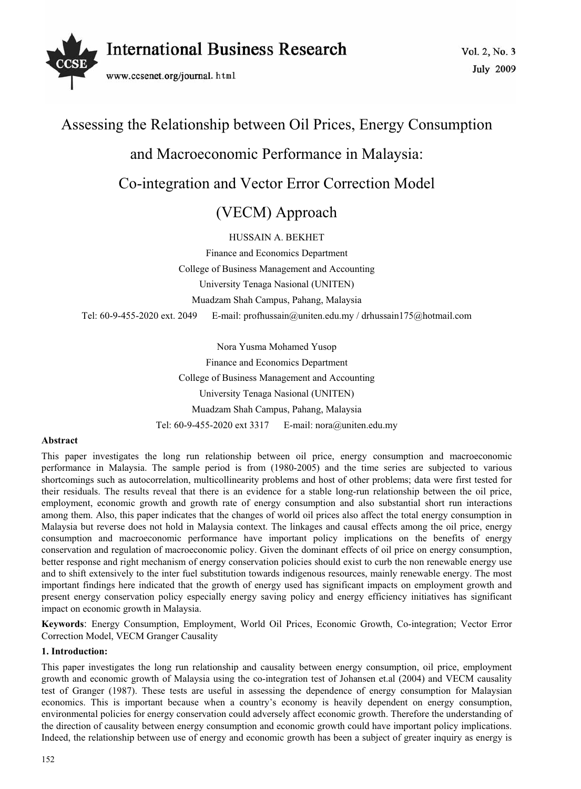

# Assessing the Relationship between Oil Prices, Energy Consumption

## and Macroeconomic Performance in Malaysia:

Co-integration and Vector Error Correction Model

## (VECM) Approach

HUSSAIN A. BEKHET

Finance and Economics Department College of Business Management and Accounting University Tenaga Nasional (UNITEN) Muadzam Shah Campus, Pahang, Malaysia

Tel: 60-9-455-2020 ext. 2049 E-mail: profhussain@uniten.edu.my / drhussain175@hotmail.com

Nora Yusma Mohamed Yusop Finance and Economics Department College of Business Management and Accounting University Tenaga Nasional (UNITEN) Muadzam Shah Campus, Pahang, Malaysia Tel: 60-9-455-2020 ext 3317 E-mail: nora@uniten.edu.my

## **Abstract**

This paper investigates the long run relationship between oil price, energy consumption and macroeconomic performance in Malaysia. The sample period is from (1980-2005) and the time series are subjected to various shortcomings such as autocorrelation, multicollinearity problems and host of other problems; data were first tested for their residuals. The results reveal that there is an evidence for a stable long-run relationship between the oil price, employment, economic growth and growth rate of energy consumption and also substantial short run interactions among them. Also, this paper indicates that the changes of world oil prices also affect the total energy consumption in Malaysia but reverse does not hold in Malaysia context. The linkages and causal effects among the oil price, energy consumption and macroeconomic performance have important policy implications on the benefits of energy conservation and regulation of macroeconomic policy. Given the dominant effects of oil price on energy consumption, better response and right mechanism of energy conservation policies should exist to curb the non renewable energy use and to shift extensively to the inter fuel substitution towards indigenous resources, mainly renewable energy. The most important findings here indicated that the growth of energy used has significant impacts on employment growth and present energy conservation policy especially energy saving policy and energy efficiency initiatives has significant impact on economic growth in Malaysia.

**Keywords**: Energy Consumption, Employment, World Oil Prices, Economic Growth, Co-integration; Vector Error Correction Model, VECM Granger Causality

#### **1. Introduction:**

This paper investigates the long run relationship and causality between energy consumption, oil price, employment growth and economic growth of Malaysia using the co-integration test of Johansen et.al (2004) and VECM causality test of Granger (1987). These tests are useful in assessing the dependence of energy consumption for Malaysian economics. This is important because when a country's economy is heavily dependent on energy consumption, environmental policies for energy conservation could adversely affect economic growth. Therefore the understanding of the direction of causality between energy consumption and economic growth could have important policy implications. Indeed, the relationship between use of energy and economic growth has been a subject of greater inquiry as energy is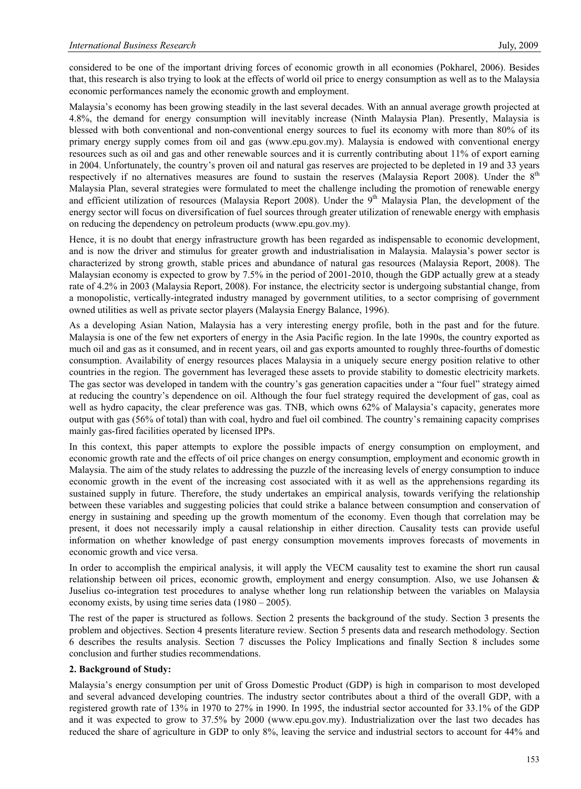considered to be one of the important driving forces of economic growth in all economies (Pokharel, 2006). Besides that, this research is also trying to look at the effects of world oil price to energy consumption as well as to the Malaysia economic performances namely the economic growth and employment.

Malaysia's economy has been growing steadily in the last several decades. With an annual average growth projected at 4.8%, the demand for energy consumption will inevitably increase (Ninth Malaysia Plan). Presently, Malaysia is blessed with both conventional and non-conventional energy sources to fuel its economy with more than 80% of its primary energy supply comes from oil and gas (www.epu.gov.my). Malaysia is endowed with conventional energy resources such as oil and gas and other renewable sources and it is currently contributing about 11% of export earning in 2004. Unfortunately, the country's proven oil and natural gas reserves are projected to be depleted in 19 and 33 years respectively if no alternatives measures are found to sustain the reserves (Malaysia Report 2008). Under the 8<sup>th</sup> Malaysia Plan, several strategies were formulated to meet the challenge including the promotion of renewable energy and efficient utilization of resources (Malaysia Report 2008). Under the 9<sup>th</sup> Malaysia Plan, the development of the energy sector will focus on diversification of fuel sources through greater utilization of renewable energy with emphasis on reducing the dependency on petroleum products (www.epu.gov.my).

Hence, it is no doubt that energy infrastructure growth has been regarded as indispensable to economic development, and is now the driver and stimulus for greater growth and industrialisation in Malaysia. Malaysia's power sector is characterized by strong growth, stable prices and abundance of natural gas resources (Malaysia Report, 2008). The Malaysian economy is expected to grow by 7.5% in the period of 2001-2010, though the GDP actually grew at a steady rate of 4.2% in 2003 (Malaysia Report, 2008). For instance, the electricity sector is undergoing substantial change, from a monopolistic, vertically-integrated industry managed by government utilities, to a sector comprising of government owned utilities as well as private sector players (Malaysia Energy Balance, 1996).

As a developing Asian Nation, Malaysia has a very interesting energy profile, both in the past and for the future. Malaysia is one of the few net exporters of energy in the Asia Pacific region. In the late 1990s, the country exported as much oil and gas as it consumed, and in recent years, oil and gas exports amounted to roughly three-fourths of domestic consumption. Availability of energy resources places Malaysia in a uniquely secure energy position relative to other countries in the region. The government has leveraged these assets to provide stability to domestic electricity markets. The gas sector was developed in tandem with the country's gas generation capacities under a "four fuel" strategy aimed at reducing the country's dependence on oil. Although the four fuel strategy required the development of gas, coal as well as hydro capacity, the clear preference was gas. TNB, which owns 62% of Malaysia's capacity, generates more output with gas (56% of total) than with coal, hydro and fuel oil combined. The country's remaining capacity comprises mainly gas-fired facilities operated by licensed IPPs.

In this context, this paper attempts to explore the possible impacts of energy consumption on employment, and economic growth rate and the effects of oil price changes on energy consumption, employment and economic growth in Malaysia. The aim of the study relates to addressing the puzzle of the increasing levels of energy consumption to induce economic growth in the event of the increasing cost associated with it as well as the apprehensions regarding its sustained supply in future. Therefore, the study undertakes an empirical analysis, towards verifying the relationship between these variables and suggesting policies that could strike a balance between consumption and conservation of energy in sustaining and speeding up the growth momentum of the economy. Even though that correlation may be present, it does not necessarily imply a causal relationship in either direction. Causality tests can provide useful information on whether knowledge of past energy consumption movements improves forecasts of movements in economic growth and vice versa.

In order to accomplish the empirical analysis, it will apply the VECM causality test to examine the short run causal relationship between oil prices, economic growth, employment and energy consumption. Also, we use Johansen & Juselius co-integration test procedures to analyse whether long run relationship between the variables on Malaysia economy exists, by using time series data (1980 – 2005).

The rest of the paper is structured as follows. Section 2 presents the background of the study. Section 3 presents the problem and objectives. Section 4 presents literature review. Section 5 presents data and research methodology. Section 6 describes the results analysis. Section 7 discusses the Policy Implications and finally Section 8 includes some conclusion and further studies recommendations.

#### **2. Background of Study:**

Malaysia's energy consumption per unit of Gross Domestic Product (GDP) is high in comparison to most developed and several advanced developing countries. The industry sector contributes about a third of the overall GDP, with a registered growth rate of 13% in 1970 to 27% in 1990. In 1995, the industrial sector accounted for 33.1% of the GDP and it was expected to grow to 37.5% by 2000 (www.epu.gov.my). Industrialization over the last two decades has reduced the share of agriculture in GDP to only 8%, leaving the service and industrial sectors to account for 44% and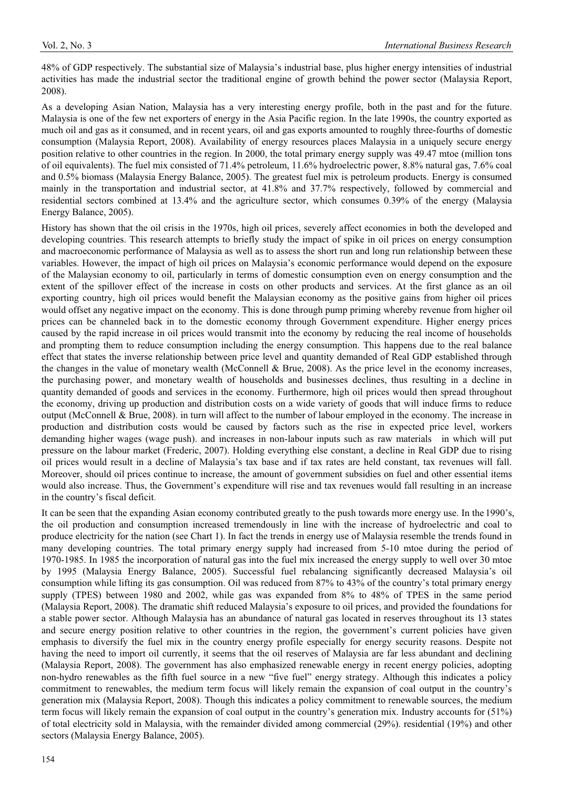48% of GDP respectively. The substantial size of Malaysia's industrial base, plus higher energy intensities of industrial activities has made the industrial sector the traditional engine of growth behind the power sector (Malaysia Report, 2008).

As a developing Asian Nation, Malaysia has a very interesting energy profile, both in the past and for the future. Malaysia is one of the few net exporters of energy in the Asia Pacific region. In the late 1990s, the country exported as much oil and gas as it consumed, and in recent years, oil and gas exports amounted to roughly three-fourths of domestic consumption (Malaysia Report, 2008). Availability of energy resources places Malaysia in a uniquely secure energy position relative to other countries in the region. In 2000, the total primary energy supply was 49.47 mtoe (million tons of oil equivalents). The fuel mix consisted of 71.4% petroleum, 11.6% hydroelectric power, 8.8% natural gas, 7.6% coal and 0.5% biomass (Malaysia Energy Balance, 2005). The greatest fuel mix is petroleum products. Energy is consumed mainly in the transportation and industrial sector, at 41.8% and 37.7% respectively, followed by commercial and residential sectors combined at 13.4% and the agriculture sector, which consumes 0.39% of the energy (Malaysia Energy Balance, 2005).

History has shown that the oil crisis in the 1970s, high oil prices, severely affect economies in both the developed and developing countries. This research attempts to briefly study the impact of spike in oil prices on energy consumption and macroeconomic performance of Malaysia as well as to assess the short run and long run relationship between these variables. However, the impact of high oil prices on Malaysia's economic performance would depend on the exposure of the Malaysian economy to oil, particularly in terms of domestic consumption even on energy consumption and the extent of the spillover effect of the increase in costs on other products and services. At the first glance as an oil exporting country, high oil prices would benefit the Malaysian economy as the positive gains from higher oil prices would offset any negative impact on the economy. This is done through pump priming whereby revenue from higher oil prices can be channeled back in to the domestic economy through Government expenditure. Higher energy prices caused by the rapid increase in oil prices would transmit into the economy by reducing the real income of households and prompting them to reduce consumption including the energy consumption. This happens due to the real balance effect that states the inverse relationship between price level and quantity demanded of Real GDP established through the changes in the value of monetary wealth (McConnell & Brue, 2008). As the price level in the economy increases, the purchasing power, and monetary wealth of households and businesses declines, thus resulting in a decline in quantity demanded of goods and services in the economy. Furthermore, high oil prices would then spread throughout the economy, driving up production and distribution costs on a wide variety of goods that will induce firms to reduce output (McConnell & Brue, 2008). in turn will affect to the number of labour employed in the economy. The increase in production and distribution costs would be caused by factors such as the rise in expected price level, workers demanding higher wages (wage push). and increases in non-labour inputs such as raw materials in which will put pressure on the labour market (Frederic, 2007). Holding everything else constant, a decline in Real GDP due to rising oil prices would result in a decline of Malaysia's tax base and if tax rates are held constant, tax revenues will fall. Moreover, should oil prices continue to increase, the amount of government subsidies on fuel and other essential items would also increase. Thus, the Government's expenditure will rise and tax revenues would fall resulting in an increase in the country's fiscal deficit.

It can be seen that the expanding Asian economy contributed greatly to the push towards more energy use. In the 1990's, the oil production and consumption increased tremendously in line with the increase of hydroelectric and coal to produce electricity for the nation (see Chart 1). In fact the trends in energy use of Malaysia resemble the trends found in many developing countries. The total primary energy supply had increased from 5-10 mtoe during the period of 1970-1985. In 1985 the incorporation of natural gas into the fuel mix increased the energy supply to well over 30 mtoe by 1995 (Malaysia Energy Balance, 2005). Successful fuel rebalancing significantly decreased Malaysia's oil consumption while lifting its gas consumption. Oil was reduced from 87% to 43% of the country's total primary energy supply (TPES) between 1980 and 2002, while gas was expanded from 8% to 48% of TPES in the same period (Malaysia Report, 2008). The dramatic shift reduced Malaysia's exposure to oil prices, and provided the foundations for a stable power sector. Although Malaysia has an abundance of natural gas located in reserves throughout its 13 states and secure energy position relative to other countries in the region, the government's current policies have given emphasis to diversify the fuel mix in the country energy profile especially for energy security reasons. Despite not having the need to import oil currently, it seems that the oil reserves of Malaysia are far less abundant and declining (Malaysia Report, 2008). The government has also emphasized renewable energy in recent energy policies, adopting non-hydro renewables as the fifth fuel source in a new "five fuel" energy strategy. Although this indicates a policy commitment to renewables, the medium term focus will likely remain the expansion of coal output in the country's generation mix (Malaysia Report, 2008). Though this indicates a policy commitment to renewable sources, the medium term focus will likely remain the expansion of coal output in the country's generation mix. Industry accounts for (51%) of total electricity sold in Malaysia, with the remainder divided among commercial (29%). residential (19%) and other sectors (Malaysia Energy Balance, 2005).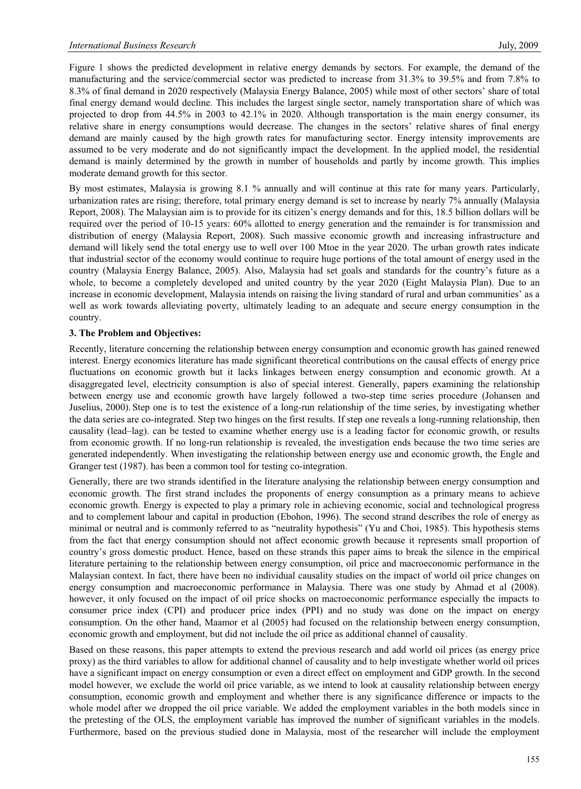Figure 1 shows the predicted development in relative energy demands by sectors. For example, the demand of the manufacturing and the service/commercial sector was predicted to increase from 31.3% to 39.5% and from 7.8% to 8.3% of final demand in 2020 respectively (Malaysia Energy Balance, 2005) while most of other sectors' share of total final energy demand would decline. This includes the largest single sector, namely transportation share of which was projected to drop from 44.5% in 2003 to 42.1% in 2020. Although transportation is the main energy consumer, its relative share in energy consumptions would decrease. The changes in the sectors' relative shares of final energy demand are mainly caused by the high growth rates for manufacturing sector. Energy intensity improvements are assumed to be very moderate and do not significantly impact the development. In the applied model, the residential demand is mainly determined by the growth in number of households and partly by income growth. This implies moderate demand growth for this sector.

By most estimates, Malaysia is growing 8.1 % annually and will continue at this rate for many years. Particularly, urbanization rates are rising; therefore, total primary energy demand is set to increase by nearly 7% annually (Malaysia Report, 2008). The Malaysian aim is to provide for its citizen's energy demands and for this, 18.5 billion dollars will be required over the period of 10-15 years: 60% allotted to energy generation and the remainder is for transmission and distribution of energy (Malaysia Report, 2008). Such massive economic growth and increasing infrastructure and demand will likely send the total energy use to well over 100 Mtoe in the year 2020. The urban growth rates indicate that industrial sector of the economy would continue to require huge portions of the total amount of energy used in the country (Malaysia Energy Balance, 2005). Also, Malaysia had set goals and standards for the country's future as a whole, to become a completely developed and united country by the year 2020 (Eight Malaysia Plan). Due to an increase in economic development, Malaysia intends on raising the living standard of rural and urban communities' as a well as work towards alleviating poverty, ultimately leading to an adequate and secure energy consumption in the country.

## **3. The Problem and Objectives:**

Recently, literature concerning the relationship between energy consumption and economic growth has gained renewed interest. Energy economics literature has made significant theoretical contributions on the causal effects of energy price fluctuations on economic growth but it lacks linkages between energy consumption and economic growth. At a disaggregated level, electricity consumption is also of special interest. Generally, papers examining the relationship between energy use and economic growth have largely followed a two-step time series procedure (Johansen and Juselius, 2000). Step one is to test the existence of a long-run relationship of the time series, by investigating whether the data series are co-integrated. Step two hinges on the first results. If step one reveals a long-running relationship, then causality (lead–lag). can be tested to examine whether energy use is a leading factor for economic growth, or results from economic growth. If no long-run relationship is revealed, the investigation ends because the two time series are generated independently. When investigating the relationship between energy use and economic growth, the Engle and Granger test (1987). has been a common tool for testing co-integration.

Generally, there are two strands identified in the literature analysing the relationship between energy consumption and economic growth. The first strand includes the proponents of energy consumption as a primary means to achieve economic growth. Energy is expected to play a primary role in achieving economic, social and technological progress and to complement labour and capital in production (Ebohon, 1996). The second strand describes the role of energy as minimal or neutral and is commonly referred to as "neutrality hypothesis" (Yu and Choi, 1985). This hypothesis stems from the fact that energy consumption should not affect economic growth because it represents small proportion of country's gross domestic product. Hence, based on these strands this paper aims to break the silence in the empirical literature pertaining to the relationship between energy consumption, oil price and macroeconomic performance in the Malaysian context. In fact, there have been no individual causality studies on the impact of world oil price changes on energy consumption and macroeconomic performance in Malaysia. There was one study by Ahmad et al (2008). however, it only focused on the impact of oil price shocks on macroeconomic performance especially the impacts to consumer price index (CPI) and producer price index (PPI) and no study was done on the impact on energy consumption. On the other hand, Maamor et al (2005) had focused on the relationship between energy consumption, economic growth and employment, but did not include the oil price as additional channel of causality.

Based on these reasons, this paper attempts to extend the previous research and add world oil prices (as energy price proxy) as the third variables to allow for additional channel of causality and to help investigate whether world oil prices have a significant impact on energy consumption or even a direct effect on employment and GDP growth. In the second model however, we exclude the world oil price variable, as we intend to look at causality relationship between energy consumption, economic growth and employment and whether there is any significance difference or impacts to the whole model after we dropped the oil price variable. We added the employment variables in the both models since in the pretesting of the OLS, the employment variable has improved the number of significant variables in the models. Furthermore, based on the previous studied done in Malaysia, most of the researcher will include the employment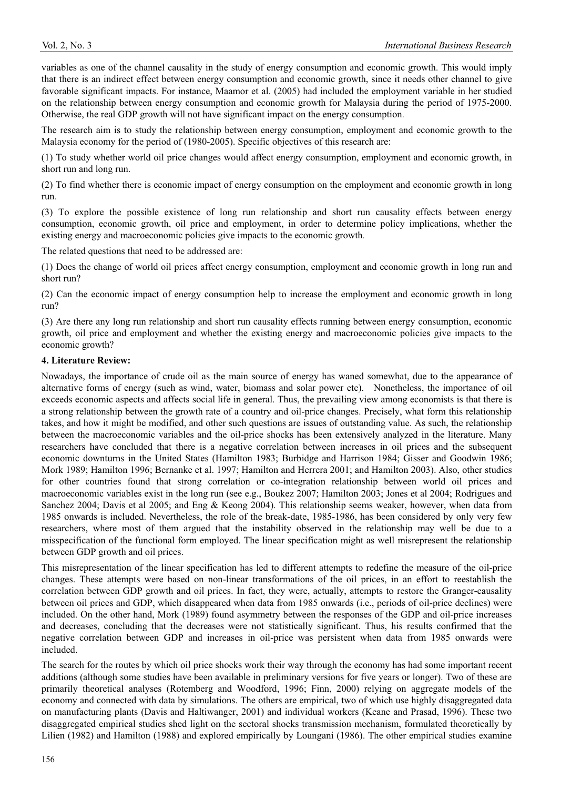variables as one of the channel causality in the study of energy consumption and economic growth. This would imply that there is an indirect effect between energy consumption and economic growth, since it needs other channel to give favorable significant impacts. For instance, Maamor et al. (2005) had included the employment variable in her studied on the relationship between energy consumption and economic growth for Malaysia during the period of 1975-2000. Otherwise, the real GDP growth will not have significant impact on the energy consumption.

The research aim is to study the relationship between energy consumption, employment and economic growth to the Malaysia economy for the period of (1980-2005). Specific objectives of this research are:

(1) To study whether world oil price changes would affect energy consumption, employment and economic growth, in short run and long run.

(2) To find whether there is economic impact of energy consumption on the employment and economic growth in long run.

(3) To explore the possible existence of long run relationship and short run causality effects between energy consumption, economic growth, oil price and employment, in order to determine policy implications, whether the existing energy and macroeconomic policies give impacts to the economic growth.

The related questions that need to be addressed are:

(1) Does the change of world oil prices affect energy consumption, employment and economic growth in long run and short run?

(2) Can the economic impact of energy consumption help to increase the employment and economic growth in long run?

(3) Are there any long run relationship and short run causality effects running between energy consumption, economic growth, oil price and employment and whether the existing energy and macroeconomic policies give impacts to the economic growth?

## **4. Literature Review:**

Nowadays, the importance of crude oil as the main source of energy has waned somewhat, due to the appearance of alternative forms of energy (such as wind, water, biomass and solar power etc). Nonetheless, the importance of oil exceeds economic aspects and affects social life in general. Thus, the prevailing view among economists is that there is a strong relationship between the growth rate of a country and oil-price changes. Precisely, what form this relationship takes, and how it might be modified, and other such questions are issues of outstanding value. As such, the relationship between the macroeconomic variables and the oil-price shocks has been extensively analyzed in the literature. Many researchers have concluded that there is a negative correlation between increases in oil prices and the subsequent economic downturns in the United States (Hamilton 1983; Burbidge and Harrison 1984; Gisser and Goodwin 1986; Mork 1989; Hamilton 1996; Bernanke et al. 1997; Hamilton and Herrera 2001; and Hamilton 2003). Also, other studies for other countries found that strong correlation or co-integration relationship between world oil prices and macroeconomic variables exist in the long run (see e.g., Boukez 2007; Hamilton 2003; Jones et al 2004; Rodrigues and Sanchez 2004; Davis et al 2005; and Eng & Keong 2004). This relationship seems weaker, however, when data from 1985 onwards is included. Nevertheless, the role of the break-date, 1985-1986, has been considered by only very few researchers, where most of them argued that the instability observed in the relationship may well be due to a misspecification of the functional form employed. The linear specification might as well misrepresent the relationship between GDP growth and oil prices.

This misrepresentation of the linear specification has led to different attempts to redefine the measure of the oil-price changes. These attempts were based on non-linear transformations of the oil prices, in an effort to reestablish the correlation between GDP growth and oil prices. In fact, they were, actually, attempts to restore the Granger-causality between oil prices and GDP, which disappeared when data from 1985 onwards (i.e., periods of oil-price declines) were included. On the other hand, Mork (1989) found asymmetry between the responses of the GDP and oil-price increases and decreases, concluding that the decreases were not statistically significant. Thus, his results confirmed that the negative correlation between GDP and increases in oil-price was persistent when data from 1985 onwards were included.

The search for the routes by which oil price shocks work their way through the economy has had some important recent additions (although some studies have been available in preliminary versions for five years or longer). Two of these are primarily theoretical analyses (Rotemberg and Woodford, 1996; Finn, 2000) relying on aggregate models of the economy and connected with data by simulations. The others are empirical, two of which use highly disaggregated data on manufacturing plants (Davis and Haltiwanger, 2001) and individual workers (Keane and Prasad, 1996). These two disaggregated empirical studies shed light on the sectoral shocks transmission mechanism, formulated theoretically by Lilien (1982) and Hamilton (1988) and explored empirically by Loungani (1986). The other empirical studies examine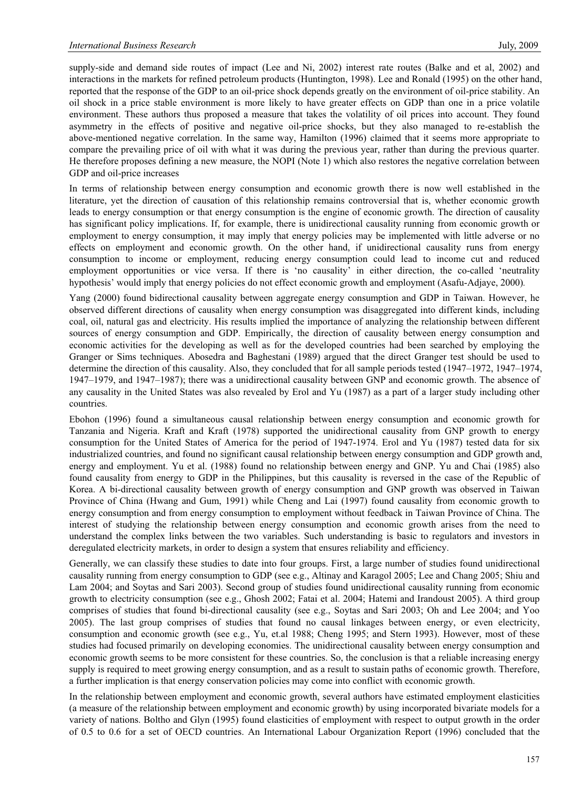supply-side and demand side routes of impact (Lee and Ni, 2002) interest rate routes (Balke and et al, 2002) and interactions in the markets for refined petroleum products (Huntington, 1998). Lee and Ronald (1995) on the other hand, reported that the response of the GDP to an oil-price shock depends greatly on the environment of oil-price stability. An oil shock in a price stable environment is more likely to have greater effects on GDP than one in a price volatile environment. These authors thus proposed a measure that takes the volatility of oil prices into account. They found asymmetry in the effects of positive and negative oil-price shocks, but they also managed to re-establish the above-mentioned negative correlation. In the same way, Hamilton (1996) claimed that it seems more appropriate to compare the prevailing price of oil with what it was during the previous year, rather than during the previous quarter. He therefore proposes defining a new measure, the NOPI (Note 1) which also restores the negative correlation between GDP and oil-price increases

In terms of relationship between energy consumption and economic growth there is now well established in the literature, yet the direction of causation of this relationship remains controversial that is, whether economic growth leads to energy consumption or that energy consumption is the engine of economic growth. The direction of causality has significant policy implications. If, for example, there is unidirectional causality running from economic growth or employment to energy consumption, it may imply that energy policies may be implemented with little adverse or no effects on employment and economic growth. On the other hand, if unidirectional causality runs from energy consumption to income or employment, reducing energy consumption could lead to income cut and reduced employment opportunities or vice versa. If there is 'no causality' in either direction, the co-called 'neutrality hypothesis' would imply that energy policies do not effect economic growth and employment (Asafu-Adjaye, 2000)*.*

Yang (2000) found bidirectional causality between aggregate energy consumption and GDP in Taiwan. However, he observed different directions of causality when energy consumption was disaggregated into different kinds, including coal, oil, natural gas and electricity. His results implied the importance of analyzing the relationship between different sources of energy consumption and GDP. Empirically, the direction of causality between energy consumption and economic activities for the developing as well as for the developed countries had been searched by employing the Granger or Sims techniques. Abosedra and Baghestani (1989) argued that the direct Granger test should be used to determine the direction of this causality. Also, they concluded that for all sample periods tested (1947–1972, 1947–1974, 1947–1979, and 1947–1987); there was a unidirectional causality between GNP and economic growth. The absence of any causality in the United States was also revealed by Erol and Yu (1987) as a part of a larger study including other countries.

Ebohon (1996) found a simultaneous causal relationship between energy consumption and economic growth for Tanzania and Nigeria. Kraft and Kraft (1978) supported the unidirectional causality from GNP growth to energy consumption for the United States of America for the period of 1947-1974. Erol and Yu (1987) tested data for six industrialized countries, and found no significant causal relationship between energy consumption and GDP growth and, energy and employment. Yu et al. (1988) found no relationship between energy and GNP. Yu and Chai (1985) also found causality from energy to GDP in the Philippines, but this causality is reversed in the case of the Republic of Korea. A bi-directional causality between growth of energy consumption and GNP growth was observed in Taiwan Province of China (Hwang and Gum, 1991) while Cheng and Lai (1997) found causality from economic growth to energy consumption and from energy consumption to employment without feedback in Taiwan Province of China. The interest of studying the relationship between energy consumption and economic growth arises from the need to understand the complex links between the two variables. Such understanding is basic to regulators and investors in deregulated electricity markets, in order to design a system that ensures reliability and efficiency.

Generally, we can classify these studies to date into four groups. First, a large number of studies found unidirectional causality running from energy consumption to GDP (see e.g., Altinay and Karagol 2005; Lee and Chang 2005; Shiu and Lam 2004; and Soytas and Sari 2003). Second group of studies found unidirectional causality running from economic growth to electricity consumption (see e.g., Ghosh 2002; Fatai et al. 2004; Hatemi and Irandoust 2005). A third group comprises of studies that found bi-directional causality (see e.g., Soytas and Sari 2003; Oh and Lee 2004; and Yoo 2005). The last group comprises of studies that found no causal linkages between energy, or even electricity, consumption and economic growth (see e.g., Yu, et.al 1988; Cheng 1995; and Stern 1993). However, most of these studies had focused primarily on developing economies. The unidirectional causality between energy consumption and economic growth seems to be more consistent for these countries. So, the conclusion is that a reliable increasing energy supply is required to meet growing energy consumption, and as a result to sustain paths of economic growth. Therefore, a further implication is that energy conservation policies may come into conflict with economic growth.

In the relationship between employment and economic growth, several authors have estimated employment elasticities (a measure of the relationship between employment and economic growth) by using incorporated bivariate models for a variety of nations. Boltho and Glyn (1995) found elasticities of employment with respect to output growth in the order of 0.5 to 0.6 for a set of OECD countries. An International Labour Organization Report (1996) concluded that the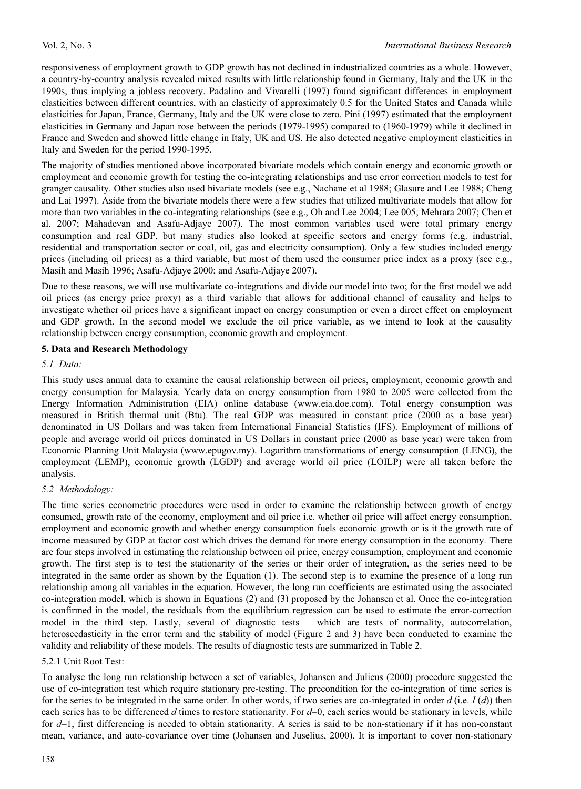responsiveness of employment growth to GDP growth has not declined in industrialized countries as a whole. However, a country-by-country analysis revealed mixed results with little relationship found in Germany, Italy and the UK in the 1990s, thus implying a jobless recovery. Padalino and Vivarelli (1997) found significant differences in employment elasticities between different countries, with an elasticity of approximately 0.5 for the United States and Canada while elasticities for Japan, France, Germany, Italy and the UK were close to zero. Pini (1997) estimated that the employment elasticities in Germany and Japan rose between the periods (1979-1995) compared to (1960-1979) while it declined in France and Sweden and showed little change in Italy, UK and US. He also detected negative employment elasticities in Italy and Sweden for the period 1990-1995.

The majority of studies mentioned above incorporated bivariate models which contain energy and economic growth or employment and economic growth for testing the co-integrating relationships and use error correction models to test for granger causality. Other studies also used bivariate models (see e.g., Nachane et al 1988; Glasure and Lee 1988; Cheng and Lai 1997). Aside from the bivariate models there were a few studies that utilized multivariate models that allow for more than two variables in the co-integrating relationships (see e.g., Oh and Lee 2004; Lee 005; Mehrara 2007; Chen et al. 2007; Mahadevan and Asafu-Adjaye 2007). The most common variables used were total primary energy consumption and real GDP, but many studies also looked at specific sectors and energy forms (e.g. industrial, residential and transportation sector or coal, oil, gas and electricity consumption). Only a few studies included energy prices (including oil prices) as a third variable, but most of them used the consumer price index as a proxy (see e.g., Masih and Masih 1996; Asafu-Adjaye 2000; and Asafu-Adjaye 2007).

Due to these reasons, we will use multivariate co-integrations and divide our model into two; for the first model we add oil prices (as energy price proxy) as a third variable that allows for additional channel of causality and helps to investigate whether oil prices have a significant impact on energy consumption or even a direct effect on employment and GDP growth. In the second model we exclude the oil price variable, as we intend to look at the causality relationship between energy consumption, economic growth and employment.

## **5. Data and Research Methodology**

## *5.1 Data:*

This study uses annual data to examine the causal relationship between oil prices, employment, economic growth and energy consumption for Malaysia. Yearly data on energy consumption from 1980 to 2005 were collected from the Energy Information Administration (EIA) online database (www.eia.doe.com). Total energy consumption was measured in British thermal unit (Btu). The real GDP was measured in constant price (2000 as a base year) denominated in US Dollars and was taken from International Financial Statistics (IFS). Employment of millions of people and average world oil prices dominated in US Dollars in constant price (2000 as base year) were taken from Economic Planning Unit Malaysia (www.epugov.my). Logarithm transformations of energy consumption (LENG), the employment (LEMP), economic growth (LGDP) and average world oil price (LOILP) were all taken before the analysis.

## *5.2 Methodology:*

The time series econometric procedures were used in order to examine the relationship between growth of energy consumed, growth rate of the economy, employment and oil price i.e. whether oil price will affect energy consumption, employment and economic growth and whether energy consumption fuels economic growth or is it the growth rate of income measured by GDP at factor cost which drives the demand for more energy consumption in the economy. There are four steps involved in estimating the relationship between oil price, energy consumption, employment and economic growth. The first step is to test the stationarity of the series or their order of integration, as the series need to be integrated in the same order as shown by the Equation (1). The second step is to examine the presence of a long run relationship among all variables in the equation. However, the long run coefficients are estimated using the associated co-integration model, which is shown in Equations (2) and (3) proposed by the Johansen et al. Once the co-integration is confirmed in the model, the residuals from the equilibrium regression can be used to estimate the error-correction model in the third step. Lastly, several of diagnostic tests – which are tests of normality, autocorrelation, heteroscedasticity in the error term and the stability of model (Figure 2 and 3) have been conducted to examine the validity and reliability of these models. The results of diagnostic tests are summarized in Table 2.

## 5.2.1 Unit Root Test:

To analyse the long run relationship between a set of variables, Johansen and Julieus (2000) procedure suggested the use of co-integration test which require stationary pre-testing. The precondition for the co-integration of time series is for the series to be integrated in the same order. In other words, if two series are co-integrated in order *d* (i.e. *I* (*d*)) then each series has to be differenced *d* times to restore stationarity. For  $d=0$ , each series would be stationary in levels, while for *d*=1, first differencing is needed to obtain stationarity. A series is said to be non-stationary if it has non-constant mean, variance, and auto-covariance over time (Johansen and Juselius, 2000). It is important to cover non-stationary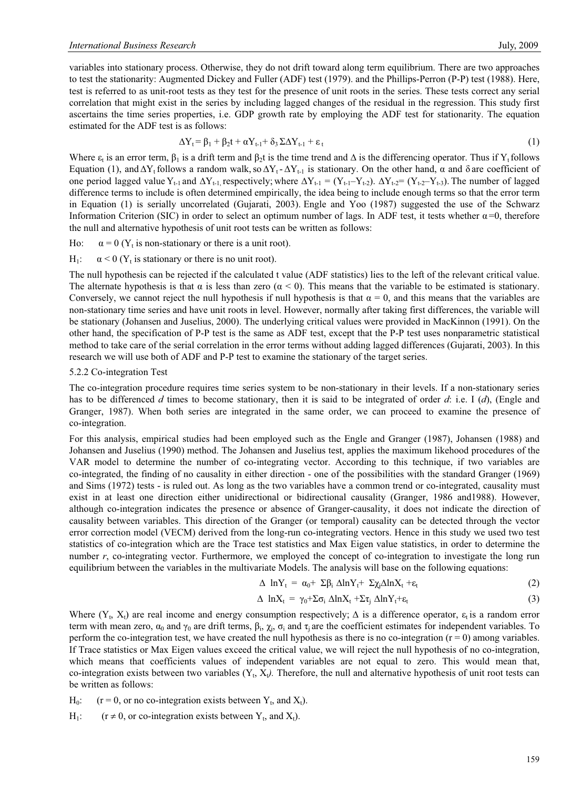variables into stationary process. Otherwise, they do not drift toward along term equilibrium. There are two approaches to test the stationarity: Augmented Dickey and Fuller (ADF) test (1979). and the Phillips-Perron (P-P) test (1988). Here, test is referred to as unit-root tests as they test for the presence of unit roots in the series. These tests correct any serial correlation that might exist in the series by including lagged changes of the residual in the regression. This study first ascertains the time series properties, i.e. GDP growth rate by employing the ADF test for stationarity. The equation estimated for the ADF test is as follows:

$$
\Delta Y_t = \beta_1 + \beta_2 t + \alpha Y_{t-1} + \delta_3 \Sigma \Delta Y_{t-1} + \varepsilon_t
$$
\n(1)

Where  $\varepsilon_t$  is an error term,  $\beta_1$  is a drift term and  $\beta_2t$  is the time trend and  $\Delta$  is the differencing operator. Thus if Y<sub>t</sub> follows Equation (1), and  $\Delta Y_t$  follows a random walk, so  $\Delta Y_t$ -  $\Delta Y_{t-1}$  is stationary. On the other hand,  $\alpha$  and  $\delta$  are coefficient of one period lagged value  $Y_{t-1}$  and  $\Delta Y_{t-1}$ , respectively; where  $\Delta Y_{t-1} = (Y_{t-1} - Y_{t-2})$ .  $\Delta Y_{t-2} = (Y_{t-2} - Y_{t-3})$ . The number of lagged difference terms to include is often determined empirically, the idea being to include enough terms so that the error term in Equation (1) is serially uncorrelated (Gujarati, 2003). Engle and Yoo (1987) suggested the use of the Schwarz Information Criterion (SIC) in order to select an optimum number of lags. In ADF test, it tests whether  $\alpha$ =0, therefore the null and alternative hypothesis of unit root tests can be written as follows:

- Ho:  $\alpha = 0$  (Y<sub>t</sub> is non-stationary or there is a unit root).
- $H_1$ :  $\alpha$  < 0 (Y<sub>t</sub> is stationary or there is no unit root).

The null hypothesis can be rejected if the calculated t value (ADF statistics) lies to the left of the relevant critical value. The alternate hypothesis is that  $\alpha$  is less than zero ( $\alpha$  < 0). This means that the variable to be estimated is stationary. Conversely, we cannot reject the null hypothesis if null hypothesis is that  $\alpha = 0$ , and this means that the variables are non-stationary time series and have unit roots in level. However, normally after taking first differences, the variable will be stationary (Johansen and Juselius, 2000). The underlying critical values were provided in MacKinnon (1991). On the other hand, the specification of P-P test is the same as ADF test, except that the P-P test uses nonparametric statistical method to take care of the serial correlation in the error terms without adding lagged differences (Gujarati, 2003). In this research we will use both of ADF and P-P test to examine the stationary of the target series.

#### 5.2.2 Co-integration Test

The co-integration procedure requires time series system to be non-stationary in their levels. If a non-stationary series has to be differenced *d* times to become stationary, then it is said to be integrated of order *d*: i.e. I (*d*), (Engle and Granger, 1987). When both series are integrated in the same order, we can proceed to examine the presence of co-integration.

For this analysis, empirical studies had been employed such as the Engle and Granger (1987), Johansen (1988) and Johansen and Juselius (1990) method. The Johansen and Juselius test, applies the maximum likehood procedures of the VAR model to determine the number of co-integrating vector. According to this technique, if two variables are co-integrated, the finding of no causality in either direction - one of the possibilities with the standard Granger (1969) and Sims (1972) tests - is ruled out. As long as the two variables have a common trend or co-integrated, causality must exist in at least one direction either unidirectional or bidirectional causality (Granger, 1986 and1988). However, although co-integration indicates the presence or absence of Granger-causality, it does not indicate the direction of causality between variables. This direction of the Granger (or temporal) causality can be detected through the vector error correction model (VECM) derived from the long-run co-integrating vectors. Hence in this study we used two test statistics of co-integration which are the Trace test statistics and Max Eigen value statistics, in order to determine the number *r*, co-integrating vector. Furthermore, we employed the concept of co-integration to investigate the long run equilibrium between the variables in the multivariate Models. The analysis will base on the following equations:

$$
\Delta \ln Y_t = \alpha_0 + \Sigma \beta_i \Delta \ln Y_t + \Sigma \chi_j \Delta \ln X_t + \varepsilon_t \tag{2}
$$

$$
\Delta \ln X_t = \gamma_0 + \Sigma \sigma_i \Delta \ln X_t + \Sigma \tau_j \Delta \ln Y_t + \varepsilon_t \tag{3}
$$

Where  $(Y_t, X_t)$  are real income and energy consumption respectively;  $\Delta$  is a difference operator,  $\varepsilon_t$  is a random error term with mean zero,  $\alpha_0$  and  $\gamma_0$  are drift terms,  $\beta_i$ ,  $\chi_j$ ,  $\sigma_i$  and  $\tau_j$  are the coefficient estimates for independent variables. To perform the co-integration test, we have created the null hypothesis as there is no co-integration  $(r = 0)$  among variables. If Trace statistics or Max Eigen values exceed the critical value, we will reject the null hypothesis of no co-integration, which means that coefficients values of independent variables are not equal to zero. This would mean that, co-integration exists between two variables  $(Y_t, X_t)$ . Therefore, the null and alternative hypothesis of unit root tests can be written as follows:

- $H_0$ : (r = 0, or no co-integration exists between  $Y_t$ , and  $X_t$ ).
- $H_1$ : (r  $\neq$  0, or co-integration exists between  $Y_t$ , and  $X_t$ ).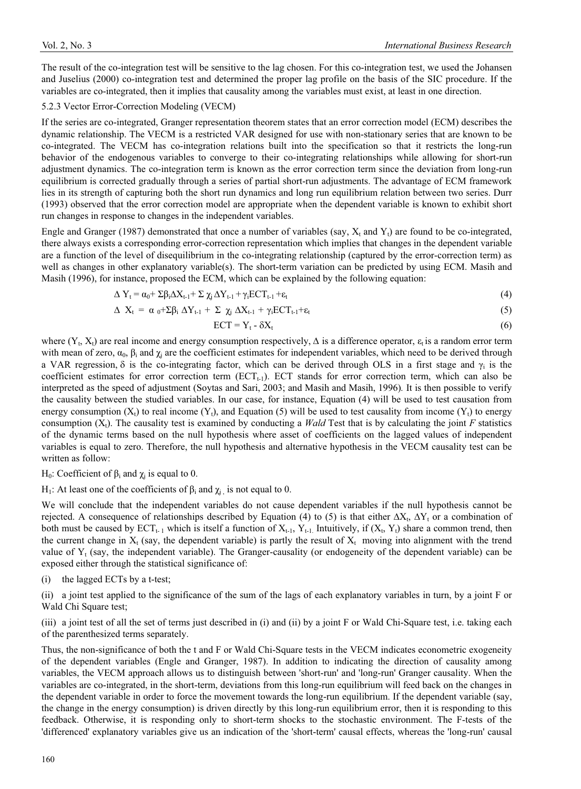The result of the co-integration test will be sensitive to the lag chosen. For this co-integration test, we used the Johansen and Juselius (2000) co-integration test and determined the proper lag profile on the basis of the SIC procedure. If the variables are co-integrated, then it implies that causality among the variables must exist, at least in one direction.

#### 5.2.3 Vector Error-Correction Modeling (VECM)

If the series are co-integrated, Granger representation theorem states that an error correction model (ECM) describes the dynamic relationship. The VECM is a restricted VAR designed for use with non-stationary series that are known to be co-integrated. The VECM has co-integration relations built into the specification so that it restricts the long-run behavior of the endogenous variables to converge to their co-integrating relationships while allowing for short-run adjustment dynamics. The co-integration term is known as the error correction term since the deviation from long-run equilibrium is corrected gradually through a series of partial short-run adjustments. The advantage of ECM framework lies in its strength of capturing both the short run dynamics and long run equilibrium relation between two series. Durr (1993) observed that the error correction model are appropriate when the dependent variable is known to exhibit short run changes in response to changes in the independent variables.

Engle and Granger (1987) demonstrated that once a number of variables (say,  $X_t$  and  $Y_t$ ) are found to be co-integrated, there always exists a corresponding error-correction representation which implies that changes in the dependent variable are a function of the level of disequilibrium in the co-integrating relationship (captured by the error-correction term) as well as changes in other explanatory variable(s). The short-term variation can be predicted by using ECM. Masih and Masih (1996), for instance, proposed the ECM, which can be explained by the following equation:

$$
\Delta Y_t = \alpha_0 + \Sigma \beta_i \Delta X_{t-1} + \Sigma \chi_j \Delta Y_{t-1} + \gamma_i ECT_{t-1} + \varepsilon_t
$$
\n
$$
\tag{4}
$$

$$
\Delta X_t = \alpha_0 + \Sigma \beta_i \Delta Y_{t-1} + \Sigma \chi_j \Delta X_{t-1} + \gamma_i ECT_{t-1} + \epsilon_t
$$
\n
$$
(5)
$$

$$
ECT = Y_t - \delta X_t \tag{6}
$$

where  $(Y_t, X_t)$  are real income and energy consumption respectively,  $\Delta$  is a difference operator,  $\varepsilon_t$  is a random error term with mean of zero,  $\alpha_0$ ,  $\beta_i$  and  $\chi_i$  are the coefficient estimates for independent variables, which need to be derived through a VAR regression,  $\delta$  is the co-integrating factor, which can be derived through OLS in a first stage and  $\gamma_i$  is the coefficient estimates for error correction term  $(ECT<sub>t-1</sub>)$ . ECT stands for error correction term, which can also be interpreted as the speed of adjustment (Soytas and Sari, 2003; and Masih and Masih, 1996)*.* It is then possible to verify the causality between the studied variables. In our case, for instance, Equation (4) will be used to test causation from energy consumption  $(X_t)$  to real income  $(Y_t)$ , and Equation (5) will be used to test causality from income  $(Y_t)$  to energy consumption  $(X_t)$ . The causality test is examined by conducting a *Wald* Test that is by calculating the joint *F* statistics of the dynamic terms based on the null hypothesis where asset of coefficients on the lagged values of independent variables is equal to zero. Therefore, the null hypothesis and alternative hypothesis in the VECM causality test can be written as follow:

H<sub>0</sub>: Coefficient of  $β_i$  and  $χ_i$  is equal to 0.

H<sub>1</sub>: At least one of the coefficients of  $\beta_i$  and  $\chi_j$ , is not equal to 0.

We will conclude that the independent variables do not cause dependent variables if the null hypothesis cannot be rejected. A consequence of relationships described by Equation (4) to (5) is that either  $\Delta X_t$ ,  $\Delta Y_t$  or a combination of both must be caused by  $ECT_{t-1}$  which is itself a function of  $X_{t-1}$ ,  $Y_{t-1}$ . Intuitively, if  $(X_t, Y_t)$  share a common trend, then the current change in  $X_t$  (say, the dependent variable) is partly the result of  $X_t$  moving into alignment with the trend value of  $Y_t$  (say, the independent variable). The Granger-causality (or endogeneity of the dependent variable) can be exposed either through the statistical significance of:

(i) the lagged ECTs by a t-test;

(ii) a joint test applied to the significance of the sum of the lags of each explanatory variables in turn, by a joint F or Wald Chi Square test;

(iii) a joint test of all the set of terms just described in (i) and (ii) by a joint F or Wald Chi-Square test, i.e. taking each of the parenthesized terms separately.

Thus, the non-significance of both the t and F or Wald Chi-Square tests in the VECM indicates econometric exogeneity of the dependent variables (Engle and Granger, 1987). In addition to indicating the direction of causality among variables, the VECM approach allows us to distinguish between 'short-run' and 'long-run' Granger causality. When the variables are co-integrated, in the short-term, deviations from this long-run equilibrium will feed back on the changes in the dependent variable in order to force the movement towards the long-run equilibrium. If the dependent variable (say, the change in the energy consumption) is driven directly by this long-run equilibrium error, then it is responding to this feedback. Otherwise, it is responding only to short-term shocks to the stochastic environment. The F-tests of the 'differenced' explanatory variables give us an indication of the 'short-term' causal effects, whereas the 'long-run' causal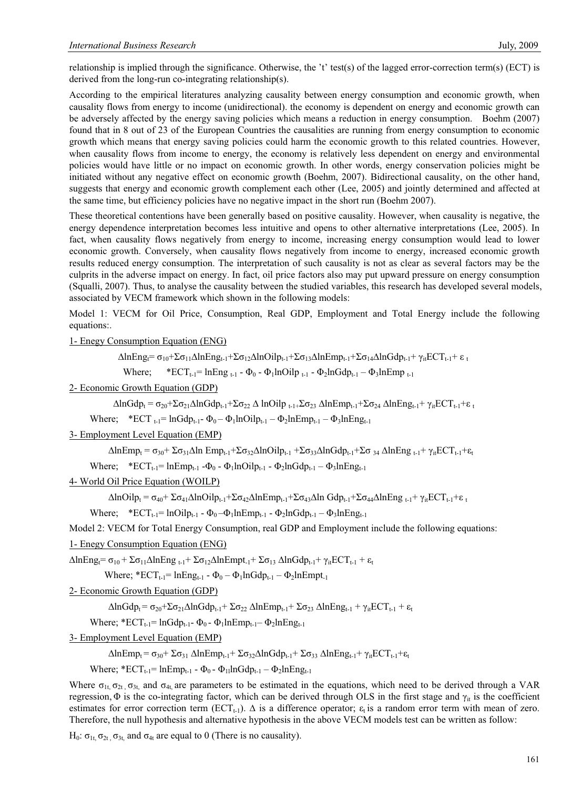relationship is implied through the significance. Otherwise, the 't' test(s) of the lagged error-correction term(s) (ECT) is derived from the long-run co-integrating relationship(s).

According to the empirical literatures analyzing causality between energy consumption and economic growth, when causality flows from energy to income (unidirectional). the economy is dependent on energy and economic growth can be adversely affected by the energy saving policies which means a reduction in energy consumption. Boehm (2007) found that in 8 out of 23 of the European Countries the causalities are running from energy consumption to economic growth which means that energy saving policies could harm the economic growth to this related countries. However, when causality flows from income to energy, the economy is relatively less dependent on energy and environmental policies would have little or no impact on economic growth. In other words, energy conservation policies might be initiated without any negative effect on economic growth (Boehm, 2007). Bidirectional causality, on the other hand, suggests that energy and economic growth complement each other (Lee, 2005) and jointly determined and affected at the same time, but efficiency policies have no negative impact in the short run (Boehm 2007).

These theoretical contentions have been generally based on positive causality. However, when causality is negative, the energy dependence interpretation becomes less intuitive and opens to other alternative interpretations (Lee, 2005). In fact, when causality flows negatively from energy to income, increasing energy consumption would lead to lower economic growth. Conversely, when causality flows negatively from income to energy, increased economic growth results reduced energy consumption. The interpretation of such causality is not as clear as several factors may be the culprits in the adverse impact on energy. In fact, oil price factors also may put upward pressure on energy consumption (Squalli, 2007). Thus, to analyse the causality between the studied variables, this research has developed several models, associated by VECM framework which shown in the following models:

Model 1: VECM for Oil Price, Consumption, Real GDP, Employment and Total Energy include the following equations:.

1- Enegy Consumption Equation (ENG)

 $\Delta$ lnEng<sub>t</sub>=  $\sigma_{10}+\Sigma \sigma_{11} \Delta$ lnEng<sub>t-1</sub>+ $\Sigma \sigma_{12} \Delta$ lnOilp<sub>t-1</sub>+ $\Sigma \sigma_{13} \Delta$ lnEmp<sub>t-1</sub>+ $\Sigma \sigma_{14} \Delta$ lnGdp<sub>t-1</sub>+  $\gamma_{it} ECT_{t-1}$ +  $\varepsilon_t$ 

Where;  $*{ECT_{t-1}= lnEng_{t-1} - \Phi_0 - \Phi_1lnOilp_{t-1} - \Phi_2lnGdp_{t-1} - \Phi_3lnEmp_{t-1}}$ 

2- Economic Growth Equation (GDP)

 $\Delta$ lnGdp<sub>t</sub> =  $\sigma_{20}+\Sigma\sigma_{21}\Delta$ lnGdp<sub>t-1</sub>+ $\Sigma\sigma_{22}\Delta$  lnOilp <sub>t-1</sub>+ $\Sigma\sigma_{23}\Delta$ lnEmp<sub>t-1</sub>+ $\Sigma\sigma_{24}\Delta$ lnEng<sub>t-1</sub>+  $\gamma_{ii}ECT_{t-1}+\epsilon_t$ 

Where; \*ECT  $_{t-1}$ = lnGdp<sub>t-1</sub>-  $\Phi_0 - \Phi_1$ lnOilp<sub>t-1</sub> –  $\Phi_2$ lnEmp<sub>t-1</sub> –  $\Phi_3$ lnEng<sub>t-1</sub>

3- Employment Level Equation (EMP)

 $\Delta$ lnEmp<sub>t</sub> =  $\sigma_{30}$ +  $\Sigma \sigma_{31}$  $\Delta$ ln Emp<sub>t-1</sub>+ $\Sigma \sigma_{32}$  $\Delta$ lnOilp<sub>t-1</sub> + $\Sigma \sigma_{33}$  $\Delta$ lnGdp<sub>t-1</sub>+ $\Sigma \sigma_{34}$  $\Delta$ lnEng <sub>t-1</sub>+  $\gamma_{it}$ ECT<sub>t-1</sub>+ $\varepsilon$ <sub>t</sub>

Where;  $*ECT_{t-1} = lnEmp_{t-1} - \Phi_0 - \Phi_1 lnOilp_{t-1} - \Phi_2 lnGdp_{t-1} - \Phi_3 lnEng_{t-1}$ 

4- World Oil Price Equation (WOILP)

 $\Delta$ lnOilp<sub>t</sub> =  $\sigma_{40}$ +  $\Sigma \sigma_{41}$  $\Delta$ lnOilp<sub>t-1</sub>+ $\Sigma \sigma_{42}$  $\Delta$ lnEmp<sub>t-1</sub>+ $\Sigma \sigma_{43}$  $\Delta$ ln Gdp<sub>t-1</sub>+ $\Sigma \sigma_{44}$  $\Delta$ lnEng <sub>t-1</sub>+  $\gamma_{it}$ ECT<sub>t-1</sub>+ $\varepsilon$ <sub>t</sub>

Where;  $*ECT_{t-1} = ln Oilp_{t-1} - \Phi_0 - \Phi_1 ln Emp_{t-1} - \Phi_2 ln Gdp_{t-1} - \Phi_3 ln Eng_{t-1}$ 

Model 2: VECM for Total Energy Consumption, real GDP and Employment include the following equations:

1- Enegy Consumption Equation (ENG)

 $\Delta$ lnEng<sub>t</sub>=  $\sigma_{10}$  +  $\Sigma \sigma_{11} \Delta$ lnEng <sub>t-1</sub> +  $\Sigma \sigma_{12} \Delta$ lnEmpt<sub>-1</sub> +  $\Sigma \sigma_{13} \Delta$ lnGdp<sub>t-1</sub> +  $\gamma_{ii}$ ECT<sub>t-1</sub> +  $\varepsilon$ 

Where; \*ECT<sub>t-1</sub>=  $lnEng_{t-1} - \Phi_0 - \Phi_1 lnGdp_{t-1} - \Phi_2 lnEmp_{t-1}$ 

2- Economic Growth Equation (GDP)

 $\Delta$ lnGdp<sub>t</sub> =  $\sigma_{20}+\Sigma \sigma_{21} \Delta$ lnGdp<sub>t-1</sub> +  $\Sigma \sigma_{22} \Delta$ lnEmp<sub>t-1</sub> +  $\Sigma \sigma_{23} \Delta$ lnEng<sub>t-1</sub> +  $\gamma_{it}ECT_{t-1}$  +  $\varepsilon_{t}$ 

Where; \* $ECT_{t-1}$ = lnGdp<sub>t-1</sub>-  $\Phi_0$ -  $\Phi_1$ lnEmp<sub>t-1</sub>-  $\Phi_2$ lnEng<sub>t-1</sub>

3- Employment Level Equation (EMP)

 $\Delta$ lnEmp<sub>t</sub> =  $\sigma_{30}$ +  $\Sigma \sigma_{31}$   $\Delta$ lnEmp<sub>t-1</sub>+  $\Sigma \sigma_{32}$  $\Delta$ lnGdp<sub>t-1</sub>+  $\Sigma \sigma_{33}$   $\Delta$ lnEng<sub>t-1</sub>+  $\gamma$ <sub>it</sub>ECT<sub>t-1</sub>+ $\varepsilon$ <sub>t</sub>

Where;  $*{ECT}_{t-1}$ = lnEmp<sub>t-1</sub> -  $\Phi_0$  -  $\Phi_1$ lnGdp<sub>t-1</sub> -  $\Phi_2$ lnEng<sub>t-1</sub>

Where  $\sigma_{1t}$ ,  $\sigma_{2t}$ ,  $\sigma_{3t}$ , and  $\sigma_{4t}$ , are parameters to be estimated in the equations, which need to be derived through a VAR regression,  $\Phi$  is the co-integrating factor, which can be derived through OLS in the first stage and  $\gamma_{it}$  is the coefficient estimates for error correction term (ECT<sub>t-1</sub>).  $\Delta$  is a difference operator;  $\varepsilon_t$  is a random error term with mean of zero. Therefore, the null hypothesis and alternative hypothesis in the above VECM models test can be written as follow:

H<sub>0</sub>:  $\sigma_{1t}$ ,  $\sigma_{2t}$ ,  $\sigma_{3t}$ , and  $\sigma_{4t}$  are equal to 0 (There is no causality).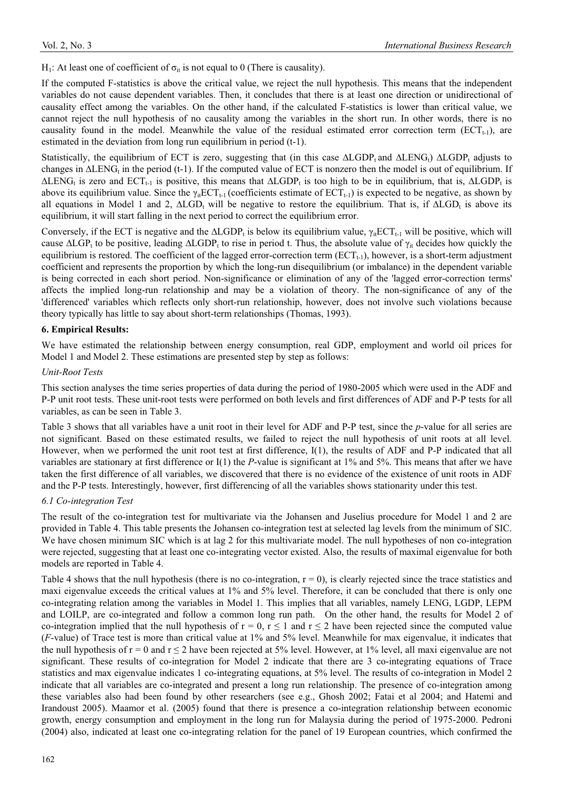H<sub>1</sub>: At least one of coefficient of  $\sigma_{it}$  is not equal to 0 (There is causality).

If the computed F-statistics is above the critical value, we reject the null hypothesis. This means that the independent variables do not cause dependent variables. Then, it concludes that there is at least one direction or unidirectional of causality effect among the variables. On the other hand, if the calculated F-statistics is lower than critical value, we cannot reject the null hypothesis of no causality among the variables in the short run. In other words, there is no causality found in the model. Meanwhile the value of the residual estimated error correction term (ECT<sub>t-1</sub>), are estimated in the deviation from long run equilibrium in period (t-1).

Statistically, the equilibrium of ECT is zero, suggesting that (in this case  $\Delta LGDP_t$  and  $\Delta LENG_t$ )  $\Delta LGDP_t$  adjusts to changes in  $\Delta$ LENG<sub>t</sub> in the period (t-1). If the computed value of ECT is nonzero then the model is out of equilibrium. If  $\triangle$ LENG<sub>t</sub> is zero and ECT<sub>t-1</sub> is positive, this means that  $\triangle$ LGDP<sub>t</sub> is too high to be in equilibrium, that is,  $\triangle$ LGDP<sub>t</sub> is above its equilibrium value. Since the  $\gamma_{it} ECT_{t-1}$  (coefficients estimate of  $ECT_{t-1}$ ) is expected to be negative, as shown by all equations in Model 1 and 2,  $\Delta LGD_t$  will be negative to restore the equilibrium. That is, if  $\Delta LGD_t$  is above its equilibrium, it will start falling in the next period to correct the equilibrium error.

Conversely, if the ECT is negative and the  $\Delta LGDP_t$  is below its equilibrium value,  $\gamma_i ECT_{t-1}$  will be positive, which will cause  $\Delta LGP_t$  to be positive, leading  $\Delta LGDP_t$  to rise in period t. Thus, the absolute value of  $\gamma_{it}$  decides how quickly the equilibrium is restored. The coefficient of the lagged error-correction term  $(ECT<sub>t-1</sub>)$ , however, is a short-term adjustment coefficient and represents the proportion by which the long-run disequilibrium (or imbalance) in the dependent variable is being corrected in each short period. Non-significance or elimination of any of the 'lagged error-correction terms' affects the implied long-run relationship and may be a violation of theory. The non-significance of any of the 'differenced' variables which reflects only short-run relationship, however, does not involve such violations because theory typically has little to say about short-term relationships (Thomas, 1993).

## **6. Empirical Results:**

We have estimated the relationship between energy consumption, real GDP, employment and world oil prices for Model 1 and Model 2. These estimations are presented step by step as follows:

## *Unit-Root Tests*

This section analyses the time series properties of data during the period of 1980-2005 which were used in the ADF and P-P unit root tests. These unit-root tests were performed on both levels and first differences of ADF and P-P tests for all variables, as can be seen in Table 3.

Table 3 shows that all variables have a unit root in their level for ADF and P-P test, since the *p*-value for all series are not significant. Based on these estimated results, we failed to reject the null hypothesis of unit roots at all level. However, when we performed the unit root test at first difference, I(1), the results of ADF and P-P indicated that all variables are stationary at first difference or I(1) the *P*-value is significant at 1% and 5%. This means that after we have taken the first difference of all variables, we discovered that there is no evidence of the existence of unit roots in ADF and the P-P tests. Interestingly, however, first differencing of all the variables shows stationarity under this test.

#### *6.1 Co-integration Test*

The result of the co-integration test for multivariate via the Johansen and Juselius procedure for Model 1 and 2 are provided in Table 4. This table presents the Johansen co-integration test at selected lag levels from the minimum of SIC. We have chosen minimum SIC which is at lag 2 for this multivariate model. The null hypotheses of non co-integration were rejected, suggesting that at least one co-integrating vector existed. Also, the results of maximal eigenvalue for both models are reported in Table 4.

Table 4 shows that the null hypothesis (there is no co-integration,  $r = 0$ ), is clearly rejected since the trace statistics and maxi eigenvalue exceeds the critical values at 1% and 5% level. Therefore, it can be concluded that there is only one co-integrating relation among the variables in Model 1. This implies that all variables, namely LENG, LGDP, LEPM and LOILP, are co-integrated and follow a common long run path. On the other hand, the results for Model 2 of co-integration implied that the null hypothesis of  $r = 0$ ,  $r \le 1$  and  $r \le 2$  have been rejected since the computed value (*F*-value) of Trace test is more than critical value at 1% and 5% level. Meanwhile for max eigenvalue, it indicates that the null hypothesis of  $r = 0$  and  $r \le 2$  have been rejected at 5% level. However, at 1% level, all maxi eigenvalue are not significant. These results of co-integration for Model 2 indicate that there are 3 co-integrating equations of Trace statistics and max eigenvalue indicates 1 co-integrating equations, at 5% level. The results of co-integration in Model 2 indicate that all variables are co-integrated and present a long run relationship. The presence of co-integration among these variables also had been found by other researchers (see e.g., Ghosh 2002; Fatai et al 2004; and Hatemi and Irandoust 2005). Maamor et al. (2005) found that there is presence a co-integration relationship between economic growth, energy consumption and employment in the long run for Malaysia during the period of 1975-2000. Pedroni (2004) also, indicated at least one co-integrating relation for the panel of 19 European countries, which confirmed the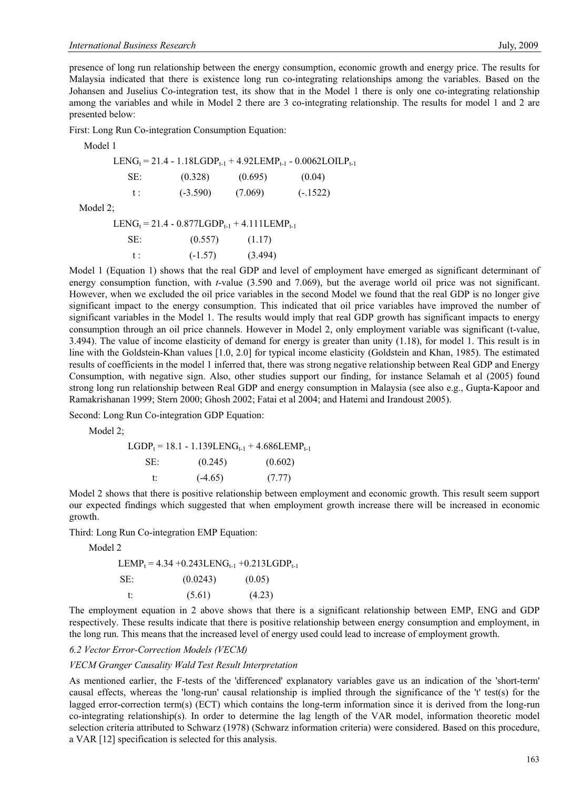presence of long run relationship between the energy consumption, economic growth and energy price. The results for Malaysia indicated that there is existence long run co-integrating relationships among the variables. Based on the Johansen and Juselius Co-integration test, its show that in the Model 1 there is only one co-integrating relationship among the variables and while in Model 2 there are 3 co-integrating relationship. The results for model 1 and 2 are presented below:

First: Long Run Co-integration Consumption Equation:

Model 1

 $LENG_t = 21.4 - 1.18LGDP_{t-1} + 4.92LEMP_{t-1} - 0.0062LOILP_{t-1}$ SE:  $(0.328)$   $(0.695)$   $(0.04)$ t :  $(-3.590)$   $(7.069)$   $(-.1522)$ 

Model 2;

 $LENG_t = 21.4 - 0.877 LGDP_{t-1} + 4.111LEMP_{t-1}$  SE: (0.557) (1.17) t :  $(-1.57)$   $(3.494)$ 

Model 1 (Equation 1) shows that the real GDP and level of employment have emerged as significant determinant of energy consumption function, with *t*-value (3.590 and 7.069), but the average world oil price was not significant. However, when we excluded the oil price variables in the second Model we found that the real GDP is no longer give significant impact to the energy consumption. This indicated that oil price variables have improved the number of significant variables in the Model 1. The results would imply that real GDP growth has significant impacts to energy consumption through an oil price channels. However in Model 2, only employment variable was significant (t-value, 3.494). The value of income elasticity of demand for energy is greater than unity (1.18), for model 1. This result is in line with the Goldstein-Khan values [1.0, 2.0] for typical income elasticity (Goldstein and Khan, 1985). The estimated results of coefficients in the model 1 inferred that, there was strong negative relationship between Real GDP and Energy Consumption, with negative sign. Also, other studies support our finding, for instance Selamah et al (2005) found strong long run relationship between Real GDP and energy consumption in Malaysia (see also e.g., Gupta-Kapoor and Ramakrishanan 1999; Stern 2000; Ghosh 2002; Fatai et al 2004; and Hatemi and Irandoust 2005).

Second: Long Run Co-integration GDP Equation:

Model 2;

 $LGDP_t = 18.1 - 1.139$ LENG<sub>t-1</sub> + 4.686LEMP<sub>t-1</sub> SE:  $(0.245)$   $(0.602)$ t:  $(-4.65)$   $(7.77)$ 

Model 2 shows that there is positive relationship between employment and economic growth. This result seem support our expected findings which suggested that when employment growth increase there will be increased in economic growth.

Third: Long Run Co-integration EMP Equation:

Model 2  $LEMP_t = 4.34 + 0.243LENG_{t-1} + 0.213LGDP_{t-1}$ SE:  $(0.0243)$   $(0.05)$ t:  $(5.61)$   $(4.23)$ 

The employment equation in 2 above shows that there is a significant relationship between EMP, ENG and GDP respectively. These results indicate that there is positive relationship between energy consumption and employment, in the long run. This means that the increased level of energy used could lead to increase of employment growth.

*6.2 Vector Error-Correction Models (VECM)* 

#### *VECM Granger Causality Wald Test Result Interpretation*

As mentioned earlier, the F-tests of the 'differenced' explanatory variables gave us an indication of the 'short-term' causal effects, whereas the 'long-run' causal relationship is implied through the significance of the 't' test(s) for the lagged error-correction term(s) (ECT) which contains the long-term information since it is derived from the long-run co-integrating relationship(s). In order to determine the lag length of the VAR model, information theoretic model selection criteria attributed to Schwarz (1978) (Schwarz information criteria) were considered. Based on this procedure, a VAR [12] specification is selected for this analysis.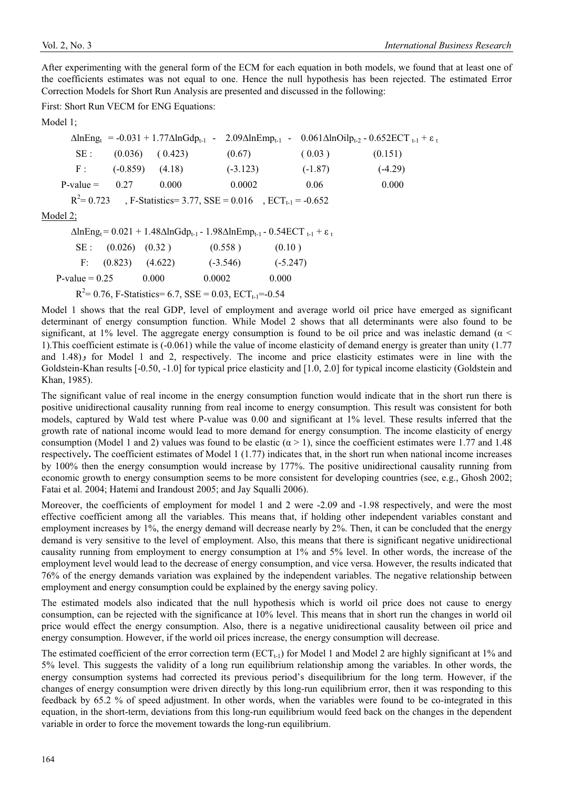After experimenting with the general form of the ECM for each equation in both models, we found that at least one of the coefficients estimates was not equal to one. Hence the null hypothesis has been rejected. The estimated Error Correction Models for Short Run Analysis are presented and discussed in the following:

First: Short Run VECM for ENG Equations:

Model 1;

|                  |                      |       | $\Delta$ lnEng <sub>t</sub> = -0.031 + 1.77 $\Delta$ lnGdp <sub>t-1</sub> - 2.09 $\Delta$ lnEmp <sub>t-1</sub> - 0.061 $\Delta$ lnOilp <sub>t-2</sub> - 0.652ECT <sub>t-1</sub> + $\varepsilon$ <sub>t</sub> |           |           |
|------------------|----------------------|-------|--------------------------------------------------------------------------------------------------------------------------------------------------------------------------------------------------------------|-----------|-----------|
|                  | SE: (0.036) (0.423)  |       | (0.67)                                                                                                                                                                                                       | (0.03)    | (0.151)   |
|                  | $F:$ (-0.859) (4.18) |       | $(-3.123)$                                                                                                                                                                                                   | $(-1.87)$ | $(-4.29)$ |
| $P-value = 0.27$ |                      | 0.000 | 0.0002                                                                                                                                                                                                       | 0.06      | 0.000     |
|                  |                      |       | $R^2$ = 0.723 , F-Statistics = 3.77, SSE = 0.016 , ECT <sub>t-1</sub> = -0.652                                                                                                                               |           |           |

## Model 2;

|                  |                    |       | $\Delta$ lnEng <sub>t</sub> = 0.021 + 1.48 $\Delta$ lnGdp <sub>t-1</sub> - 1.98 $\Delta$ lnEmp <sub>t-1</sub> - 0.54ECT <sub>t-1</sub> + $\varepsilon$ <sub>t</sub> |            |  |
|------------------|--------------------|-------|---------------------------------------------------------------------------------------------------------------------------------------------------------------------|------------|--|
|                  | SE: (0.026) (0.32) |       | (0.558)                                                                                                                                                             | (0.10)     |  |
|                  | F: (0.823) (4.622) |       | $(-3.546)$                                                                                                                                                          | $(-5.247)$ |  |
| $P-value = 0.25$ |                    | 0.000 | 0.0002                                                                                                                                                              | 0.000      |  |
|                  |                    |       | $R^2$ = 0.76, F-Statistics = 6.7, SSE = 0.03, ECT <sub>t-1</sub> = 0.54                                                                                             |            |  |

Model 1 shows that the real GDP, level of employment and average world oil price have emerged as significant determinant of energy consumption function. While Model 2 shows that all determinants were also found to be significant, at 1% level. The aggregate energy consumption is found to be oil price and was inelastic demand ( $\alpha$  < 1).This coefficient estimate is (-0.061) while the value of income elasticity of demand energy is greater than unity (1.77 and 1.48) for Model 1 and 2, respectively. The income and price elasticity estimates were in line with the Goldstein-Khan results [-0.50, -1.0] for typical price elasticity and [1.0, 2.0] for typical income elasticity (Goldstein and Khan, 1985).

The significant value of real income in the energy consumption function would indicate that in the short run there is positive unidirectional causality running from real income to energy consumption. This result was consistent for both models, captured by Wald test where P-value was 0.00 and significant at 1% level. These results inferred that the growth rate of national income would lead to more demand for energy consumption. The income elasticity of energy consumption (Model 1 and 2) values was found to be elastic  $(\alpha > 1)$ , since the coefficient estimates were 1.77 and 1.48 respectively**.** The coefficient estimates of Model 1 (1.77) indicates that, in the short run when national income increases by 100% then the energy consumption would increase by 177%. The positive unidirectional causality running from economic growth to energy consumption seems to be more consistent for developing countries (see, e.g., Ghosh 2002; Fatai et al. 2004; Hatemi and Irandoust 2005; and Jay Squalli 2006).

Moreover, the coefficients of employment for model 1 and 2 were -2.09 and -1.98 respectively, and were the most effective coefficient among all the variables. This means that, if holding other independent variables constant and employment increases by 1%, the energy demand will decrease nearly by 2%. Then, it can be concluded that the energy demand is very sensitive to the level of employment. Also, this means that there is significant negative unidirectional causality running from employment to energy consumption at 1% and 5% level. In other words, the increase of the employment level would lead to the decrease of energy consumption, and vice versa. However, the results indicated that 76% of the energy demands variation was explained by the independent variables. The negative relationship between employment and energy consumption could be explained by the energy saving policy.

The estimated models also indicated that the null hypothesis which is world oil price does not cause to energy consumption, can be rejected with the significance at 10% level. This means that in short run the changes in world oil price would effect the energy consumption. Also, there is a negative unidirectional causality between oil price and energy consumption. However, if the world oil prices increase, the energy consumption will decrease.

The estimated coefficient of the error correction term  $(ECT<sub>t-1</sub>)$  for Model 1 and Model 2 are highly significant at 1% and 5% level. This suggests the validity of a long run equilibrium relationship among the variables. In other words, the energy consumption systems had corrected its previous period's disequilibrium for the long term. However, if the changes of energy consumption were driven directly by this long-run equilibrium error, then it was responding to this feedback by 65.2 % of speed adjustment. In other words, when the variables were found to be co-integrated in this equation, in the short-term, deviations from this long-run equilibrium would feed back on the changes in the dependent variable in order to force the movement towards the long-run equilibrium.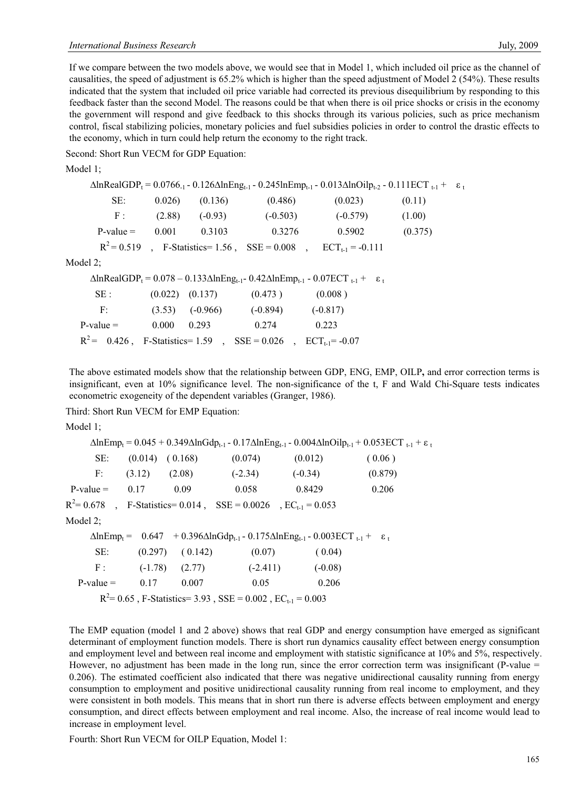If we compare between the two models above, we would see that in Model 1, which included oil price as the channel of causalities, the speed of adjustment is 65.2% which is higher than the speed adjustment of Model 2 (54%). These results indicated that the system that included oil price variable had corrected its previous disequilibrium by responding to this feedback faster than the second Model. The reasons could be that when there is oil price shocks or crisis in the economy the government will respond and give feedback to this shocks through its various policies, such as price mechanism control, fiscal stabilizing policies, monetary policies and fuel subsidies policies in order to control the drastic effects to the economy, which in turn could help return the economy to the right track.

Second: Short Run VECM for GDP Equation:

Model 1;

 $\Delta$ lnRealGDP<sub>t</sub> = 0.0766<sub>-1</sub> - 0.126 $\Delta$ lnEng<sub>t-1</sub> - 0.245lnEmp<sub>t-1</sub> - 0.013 $\Delta$ lnOilp<sub>t-2</sub> - 0.111ECT <sub>t-1</sub> +  $\varepsilon$ <sub>t</sub> SE:  $0.026$   $(0.136)$   $(0.486)$   $(0.023)$   $(0.11)$ F :  $(2.88)$   $(-0.93)$   $(-0.503)$   $(-0.579)$   $(1.00)$ P-value =  $0.001$   $0.3103$   $0.3276$   $0.5902$   $(0.375)$  $R^{2} = 0.519$ , F-Statistics= 1.56, SSE = 0.008, ECT<sub>t-1</sub> = -0.111 Model 2;  $\Delta$ lnRealGDP<sub>t</sub> = 0.078 – 0.133 $\Delta$ lnEng<sub>t-1</sub> - 0.42 $\Delta$ lnEmp<sub>t-1</sub> - 0.07ECT<sub>t-1</sub> +  $\varepsilon$ <sub>t</sub>  $SE:$  (0.022) (0.137) (0.473) (0.008) F:  $(3.53)$   $(-0.966)$   $(-0.894)$   $(-0.817)$ P-value =  $0.000 \t 0.293 \t 0.274 \t 0.223$  $R^2$  = 0.426, F-Statistics= 1.59, SSE = 0.026, ECT<sub>t-1</sub> = -0.07

The above estimated models show that the relationship between GDP, ENG, EMP, OILP**,** and error correction terms is insignificant, even at 10% significance level. The non-significance of the t, F and Wald Chi-Square tests indicates econometric exogeneity of the dependent variables (Granger, 1986).

Third: Short Run VECM for EMP Equation:

Model 1;

 $\Delta$ lnEmp<sub>t</sub> = 0.045 + 0.349 $\Delta$ lnGdp<sub>t-1</sub> - 0.17 $\Delta$ lnEng<sub>t-1</sub> - 0.004 $\Delta$ lnOilp<sub>t-1</sub> + 0.053ECT t-1 +  $\varepsilon$  t SE:  $(0.014)$   $(0.168)$   $(0.074)$   $(0.012)$   $(0.06)$ F:  $(3.12)$   $(2.08)$   $(-2.34)$   $(-0.34)$   $(0.879)$ P-value = 0.17 0.09 0.058 0.8429 0.206  $R^2 = 0.678$ , F-Statistics= 0.014, SSE = 0.0026, EC<sub>t-1</sub> = 0.053 Model 2;  $\Delta$ lnEmp<sub>t</sub> = 0.647 + 0.396 $\Delta$ lnGdp<sub>t-1</sub> - 0.175 $\Delta$ lnEng<sub>t-1</sub> - 0.003ECT<sub>t-1</sub> +  $\varepsilon$ <sub>t</sub> SE:  $(0.297)$   $(0.142)$   $(0.07)$   $(0.04)$ F :  $(-1.78)$   $(2.77)$   $(-2.411)$   $(-0.08)$  $P-value = 0.17 0.007 0.05 0.206$  $R^2$  = 0.65, F-Statistics = 3.93, SSE = 0.002, EC<sub>t-1</sub> = 0.003

The EMP equation (model 1 and 2 above) shows that real GDP and energy consumption have emerged as significant determinant of employment function models. There is short run dynamics causality effect between energy consumption and employment level and between real income and employment with statistic significance at 10% and 5%, respectively. However, no adjustment has been made in the long run, since the error correction term was insignificant (P-value = 0.206). The estimated coefficient also indicated that there was negative unidirectional causality running from energy consumption to employment and positive unidirectional causality running from real income to employment, and they were consistent in both models. This means that in short run there is adverse effects between employment and energy consumption, and direct effects between employment and real income. Also, the increase of real income would lead to increase in employment level.

Fourth: Short Run VECM for OILP Equation, Model 1: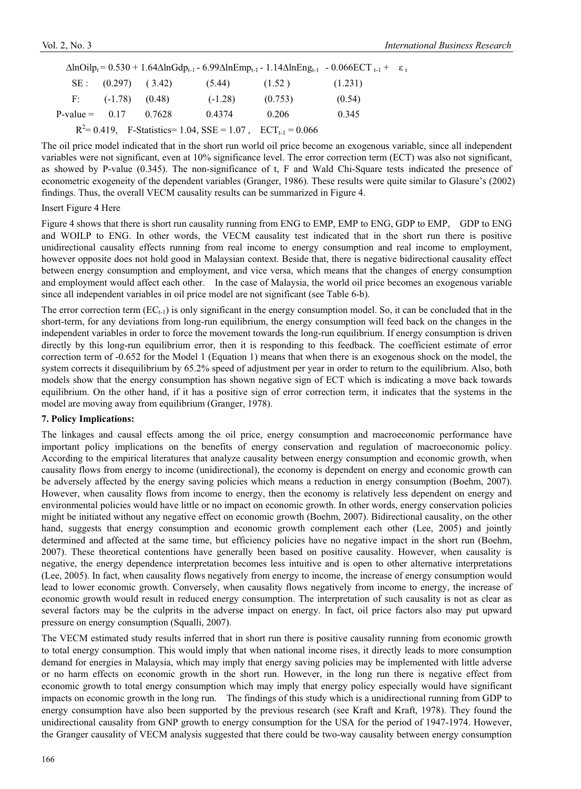|                           |                         | $\Delta$ lnOilp <sub>t</sub> = 0.530 + 1.64 $\Delta$ lnGdp <sub>t-1</sub> - 6.99 $\Delta$ lnEmp <sub>t-1</sub> - 1.14 $\Delta$ lnEng <sub>t-1</sub> - 0.066ECT <sub>t-1</sub> + $\varepsilon_1$ |         |         |  |
|---------------------------|-------------------------|-------------------------------------------------------------------------------------------------------------------------------------------------------------------------------------------------|---------|---------|--|
|                           | SE: (0.297) (3.42)      | (5.44)                                                                                                                                                                                          | (1.52)  | (1.231) |  |
|                           | $F:$ $(-1.78)$ $(0.48)$ | $(-1.28)$                                                                                                                                                                                       | (0.753) | (0.54)  |  |
| P-value = $0.17$ $0.7628$ |                         | 0.4374                                                                                                                                                                                          | 0.206   | 0.345   |  |
|                           |                         | $R^2$ = 0.419, F-Statistics = 1.04, SSE = 1.07, ECT <sub>t-1</sub> = 0.066                                                                                                                      |         |         |  |

The oil price model indicated that in the short run world oil price become an exogenous variable, since all independent variables were not significant, even at 10% significance level. The error correction term (ECT) was also not significant, as showed by P-value (0.345). The non-significance of t, F and Wald Chi-Square tests indicated the presence of econometric exogeneity of the dependent variables (Granger, 1986). These results were quite similar to Glasure's (2002) findings. Thus, the overall VECM causality results can be summarized in Figure 4.

#### Insert Figure 4 Here

Figure 4 shows that there is short run causality running from ENG to EMP, EMP to ENG, GDP to EMP, GDP to ENG and WOILP to ENG. In other words, the VECM causality test indicated that in the short run there is positive unidirectional causality effects running from real income to energy consumption and real income to employment, however opposite does not hold good in Malaysian context. Beside that, there is negative bidirectional causality effect between energy consumption and employment, and vice versa, which means that the changes of energy consumption and employment would affect each other. In the case of Malaysia, the world oil price becomes an exogenous variable since all independent variables in oil price model are not significant (see Table 6-b).

The error correction term  $(EC_{t-1})$  is only significant in the energy consumption model. So, it can be concluded that in the short-term, for any deviations from long-run equilibrium, the energy consumption will feed back on the changes in the independent variables in order to force the movement towards the long-run equilibrium. If energy consumption is driven directly by this long-run equilibrium error, then it is responding to this feedback. The coefficient estimate of error correction term of -0.652 for the Model 1 (Equation 1) means that when there is an exogenous shock on the model, the system corrects it disequilibrium by 65.2% speed of adjustment per year in order to return to the equilibrium. Also, both models show that the energy consumption has shown negative sign of ECT which is indicating a move back towards equilibrium. On the other hand, if it has a positive sign of error correction term, it indicates that the systems in the model are moving away from equilibrium (Granger, 1978).

#### **7. Policy Implications:**

The linkages and causal effects among the oil price, energy consumption and macroeconomic performance have important policy implications on the benefits of energy conservation and regulation of macroeconomic policy. According to the empirical literatures that analyze causality between energy consumption and economic growth, when causality flows from energy to income (unidirectional), the economy is dependent on energy and economic growth can be adversely affected by the energy saving policies which means a reduction in energy consumption (Boehm, 2007). However, when causality flows from income to energy, then the economy is relatively less dependent on energy and environmental policies would have little or no impact on economic growth. In other words, energy conservation policies might be initiated without any negative effect on economic growth (Boehm, 2007). Bidirectional causality, on the other hand, suggests that energy consumption and economic growth complement each other (Lee, 2005) and jointly determined and affected at the same time, but efficiency policies have no negative impact in the short run (Boehm, 2007). These theoretical contentions have generally been based on positive causality. However, when causality is negative, the energy dependence interpretation becomes less intuitive and is open to other alternative interpretations (Lee, 2005). In fact, when causality flows negatively from energy to income, the increase of energy consumption would lead to lower economic growth. Conversely, when causality flows negatively from income to energy, the increase of economic growth would result in reduced energy consumption. The interpretation of such causality is not as clear as several factors may be the culprits in the adverse impact on energy. In fact, oil price factors also may put upward pressure on energy consumption (Squalli, 2007).

The VECM estimated study results inferred that in short run there is positive causality running from economic growth to total energy consumption. This would imply that when national income rises, it directly leads to more consumption demand for energies in Malaysia, which may imply that energy saving policies may be implemented with little adverse or no harm effects on economic growth in the short run. However, in the long run there is negative effect from economic growth to total energy consumption which may imply that energy policy especially would have significant impacts on economic growth in the long run. The findings of this study which is a unidirectional running from GDP to energy consumption have also been supported by the previous research (see Kraft and Kraft, 1978). They found the unidirectional causality from GNP growth to energy consumption for the USA for the period of 1947-1974. However, the Granger causality of VECM analysis suggested that there could be two-way causality between energy consumption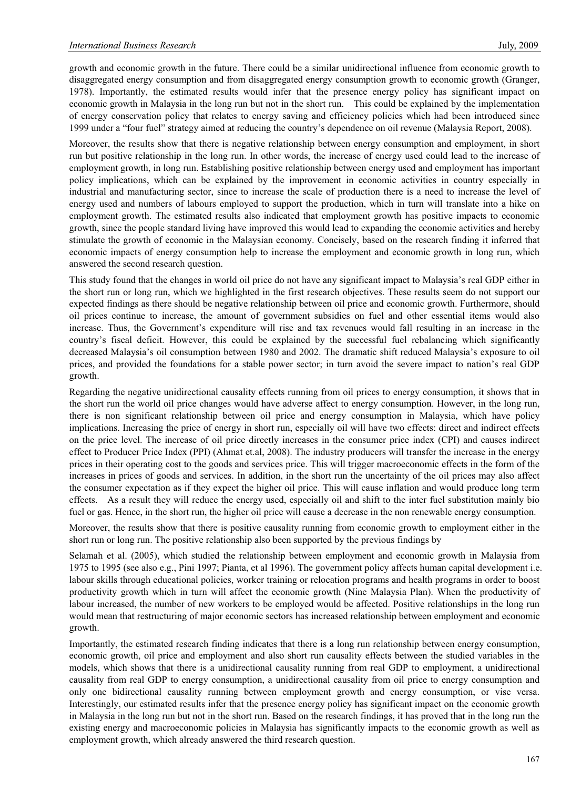growth and economic growth in the future. There could be a similar unidirectional influence from economic growth to disaggregated energy consumption and from disaggregated energy consumption growth to economic growth (Granger, 1978). Importantly, the estimated results would infer that the presence energy policy has significant impact on economic growth in Malaysia in the long run but not in the short run. This could be explained by the implementation of energy conservation policy that relates to energy saving and efficiency policies which had been introduced since 1999 under a "four fuel" strategy aimed at reducing the country's dependence on oil revenue (Malaysia Report, 2008).

Moreover, the results show that there is negative relationship between energy consumption and employment, in short run but positive relationship in the long run. In other words, the increase of energy used could lead to the increase of employment growth, in long run. Establishing positive relationship between energy used and employment has important policy implications, which can be explained by the improvement in economic activities in country especially in industrial and manufacturing sector, since to increase the scale of production there is a need to increase the level of energy used and numbers of labours employed to support the production, which in turn will translate into a hike on employment growth. The estimated results also indicated that employment growth has positive impacts to economic growth, since the people standard living have improved this would lead to expanding the economic activities and hereby stimulate the growth of economic in the Malaysian economy. Concisely, based on the research finding it inferred that economic impacts of energy consumption help to increase the employment and economic growth in long run, which answered the second research question.

This study found that the changes in world oil price do not have any significant impact to Malaysia's real GDP either in the short run or long run, which we highlighted in the first research objectives. These results seem do not support our expected findings as there should be negative relationship between oil price and economic growth. Furthermore, should oil prices continue to increase, the amount of government subsidies on fuel and other essential items would also increase. Thus, the Government's expenditure will rise and tax revenues would fall resulting in an increase in the country's fiscal deficit. However, this could be explained by the successful fuel rebalancing which significantly decreased Malaysia's oil consumption between 1980 and 2002. The dramatic shift reduced Malaysia's exposure to oil prices, and provided the foundations for a stable power sector; in turn avoid the severe impact to nation's real GDP growth.

Regarding the negative unidirectional causality effects running from oil prices to energy consumption, it shows that in the short run the world oil price changes would have adverse affect to energy consumption. However, in the long run, there is non significant relationship between oil price and energy consumption in Malaysia, which have policy implications. Increasing the price of energy in short run, especially oil will have two effects: direct and indirect effects on the price level. The increase of oil price directly increases in the consumer price index (CPI) and causes indirect effect to Producer Price Index (PPI) (Ahmat et.al, 2008). The industry producers will transfer the increase in the energy prices in their operating cost to the goods and services price. This will trigger macroeconomic effects in the form of the increases in prices of goods and services. In addition, in the short run the uncertainty of the oil prices may also affect the consumer expectation as if they expect the higher oil price. This will cause inflation and would produce long term effects. As a result they will reduce the energy used, especially oil and shift to the inter fuel substitution mainly bio fuel or gas. Hence, in the short run, the higher oil price will cause a decrease in the non renewable energy consumption.

Moreover, the results show that there is positive causality running from economic growth to employment either in the short run or long run. The positive relationship also been supported by the previous findings by

Selamah et al. (2005), which studied the relationship between employment and economic growth in Malaysia from 1975 to 1995 (see also e.g., Pini 1997; Pianta, et al 1996). The government policy affects human capital development i.e. labour skills through educational policies, worker training or relocation programs and health programs in order to boost productivity growth which in turn will affect the economic growth (Nine Malaysia Plan). When the productivity of labour increased, the number of new workers to be employed would be affected. Positive relationships in the long run would mean that restructuring of major economic sectors has increased relationship between employment and economic growth.

Importantly, the estimated research finding indicates that there is a long run relationship between energy consumption, economic growth, oil price and employment and also short run causality effects between the studied variables in the models, which shows that there is a unidirectional causality running from real GDP to employment, a unidirectional causality from real GDP to energy consumption, a unidirectional causality from oil price to energy consumption and only one bidirectional causality running between employment growth and energy consumption, or vise versa. Interestingly, our estimated results infer that the presence energy policy has significant impact on the economic growth in Malaysia in the long run but not in the short run. Based on the research findings, it has proved that in the long run the existing energy and macroeconomic policies in Malaysia has significantly impacts to the economic growth as well as employment growth, which already answered the third research question.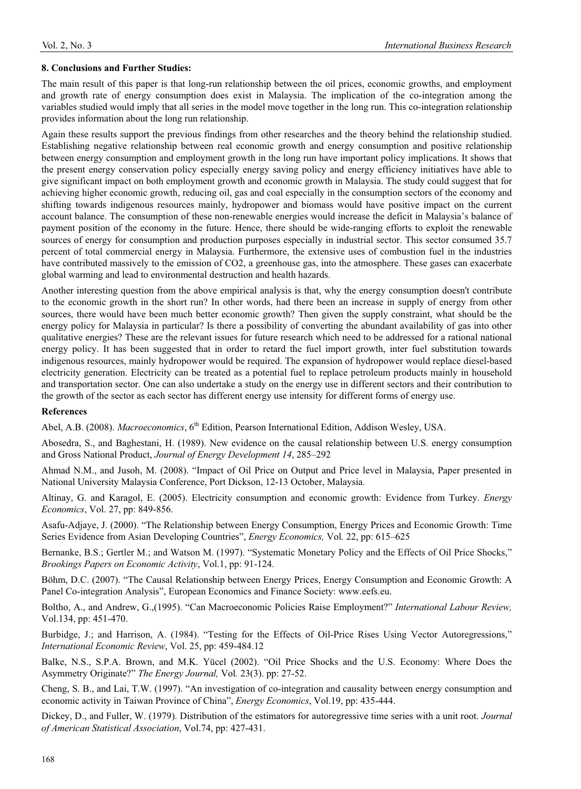#### **8. Conclusions and Further Studies:**

The main result of this paper is that long-run relationship between the oil prices, economic growths, and employment and growth rate of energy consumption does exist in Malaysia. The implication of the co-integration among the variables studied would imply that all series in the model move together in the long run. This co-integration relationship provides information about the long run relationship.

Again these results support the previous findings from other researches and the theory behind the relationship studied. Establishing negative relationship between real economic growth and energy consumption and positive relationship between energy consumption and employment growth in the long run have important policy implications. It shows that the present energy conservation policy especially energy saving policy and energy efficiency initiatives have able to give significant impact on both employment growth and economic growth in Malaysia. The study could suggest that for achieving higher economic growth, reducing oil, gas and coal especially in the consumption sectors of the economy and shifting towards indigenous resources mainly, hydropower and biomass would have positive impact on the current account balance. The consumption of these non-renewable energies would increase the deficit in Malaysia's balance of payment position of the economy in the future. Hence, there should be wide-ranging efforts to exploit the renewable sources of energy for consumption and production purposes especially in industrial sector. This sector consumed 35.7 percent of total commercial energy in Malaysia. Furthermore, the extensive uses of combustion fuel in the industries have contributed massively to the emission of CO2, a greenhouse gas, into the atmosphere. These gases can exacerbate global warming and lead to environmental destruction and health hazards.

Another interesting question from the above empirical analysis is that, why the energy consumption doesn't contribute to the economic growth in the short run? In other words, had there been an increase in supply of energy from other sources, there would have been much better economic growth? Then given the supply constraint, what should be the energy policy for Malaysia in particular? Is there a possibility of converting the abundant availability of gas into other qualitative energies? These are the relevant issues for future research which need to be addressed for a rational national energy policy. It has been suggested that in order to retard the fuel import growth, inter fuel substitution towards indigenous resources, mainly hydropower would be required. The expansion of hydropower would replace diesel-based electricity generation. Electricity can be treated as a potential fuel to replace petroleum products mainly in household and transportation sector. One can also undertake a study on the energy use in different sectors and their contribution to the growth of the sector as each sector has different energy use intensity for different forms of energy use.

#### **References**

Abel, A.B. (2008). *Macroeconomics*, 6<sup>th</sup> Edition, Pearson International Edition, Addison Wesley, USA.

Abosedra, S., and Baghestani, H. (1989). New evidence on the causal relationship between U.S. energy consumption and Gross National Product, *Journal of Energy Development 14*, 285–292

Ahmad N.M., and Jusoh, M. (2008). "Impact of Oil Price on Output and Price level in Malaysia, Paper presented in National University Malaysia Conference, Port Dickson, 12-13 October, Malaysia.

Altinay, G. and Karagol, E. (2005). Electricity consumption and economic growth: Evidence from Turkey. *Energy Economics*, Vol. 27, pp: 849-856.

Asafu-Adjaye, J. (2000). "The Relationship between Energy Consumption, Energy Prices and Economic Growth: Time Series Evidence from Asian Developing Countries", *Energy Economics,* Vol*.* 22, pp: 615–625

Bernanke, B.S.; Gertler M.; and Watson M. (1997). "Systematic Monetary Policy and the Effects of Oil Price Shocks," *Brookings Papers on Economic Activity*, Vol.1, pp: 91-124.

Böhm, D.C. (2007). "The Causal Relationship between Energy Prices, Energy Consumption and Economic Growth: A Panel Co-integration Analysis", European Economics and Finance Society: www.eefs.eu.

Boltho, A., and Andrew, G.,(1995). "Can Macroeconomic Policies Raise Employment?" *International Labour Review,*  Vol.134, pp: 451-470.

Burbidge, J.; and Harrison, A. (1984). "Testing for the Effects of Oil-Price Rises Using Vector Autoregressions," *International Economic Review*, Vol. 25, pp: 459-484.12

Balke, N.S., S.P.A. Brown, and M.K. Yücel (2002). "Oil Price Shocks and the U.S. Economy: Where Does the Asymmetry Originate?" *The Energy Journal,* Vol*.* 23(3). pp: 27-52.

Cheng, S. B., and Lai, T.W. (1997). "An investigation of co-integration and causality between energy consumption and economic activity in Taiwan Province of China", *Energy Economics*, Vol.19, pp: 435-444.

Dickey, D., and Fuller, W. (1979). Distribution of the estimators for autoregressive time series with a unit root. *Journal of American Statistical Association*, Vol.74, pp: 427-431.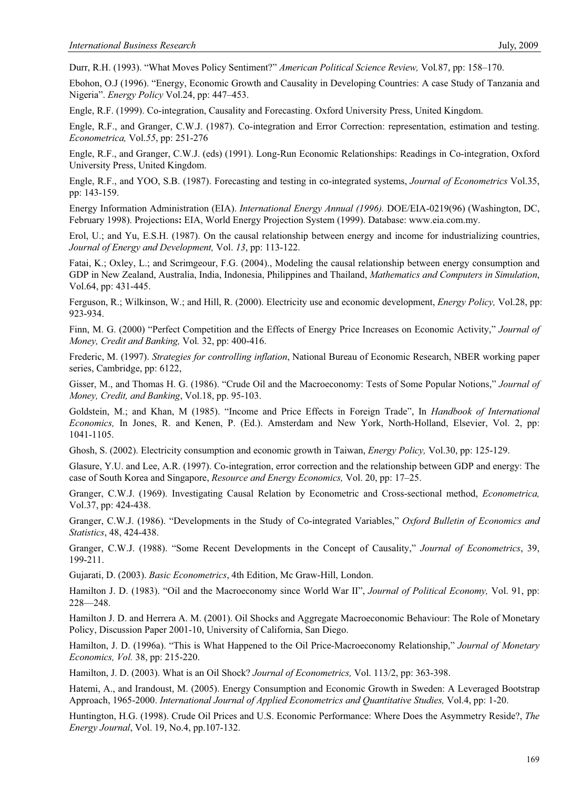Durr, R.H. (1993). "What Moves Policy Sentiment?" *American Political Science Review,* Vol*.*87, pp: 158–170.

Ebohon, O.J (1996). "Energy, Economic Growth and Causality in Developing Countries: A case Study of Tanzania and Nigeria". *Energy Policy* Vol.24, pp: 447–453.

Engle, R.F. (1999). Co-integration, Causality and Forecasting. Oxford University Press, United Kingdom.

Engle, R.F., and Granger, C.W.J. (1987). Co-integration and Error Correction: representation, estimation and testing. *Econometrica,* Vol.*55*, pp: 251-276

Engle, R.F., and Granger, C.W.J. (eds) (1991). Long-Run Economic Relationships: Readings in Co-integration, Oxford University Press, United Kingdom.

Engle, R.F., and YOO, S.B. (1987). Forecasting and testing in co-integrated systems, *Journal of Econometrics* Vol.35, pp: 143-159.

Energy Information Administration (EIA). *International Energy Annual (1996).* DOE/EIA-0219(96) (Washington, DC, February 1998). Projections**:** EIA, World Energy Projection System (1999). Database: www.eia.com.my.

Erol, U.; and Yu, E.S.H. (1987). On the causal relationship between energy and income for industrializing countries, *Journal of Energy and Development,* Vol. *13*, pp: 113-122.

Fatai, K.; Oxley, L.; and Scrimgeour, F.G. (2004)., Modeling the causal relationship between energy consumption and GDP in New Zealand, Australia, India, Indonesia, Philippines and Thailand, *Mathematics and Computers in Simulation*, Vol.64, pp: 431-445.

Ferguson, R.; Wilkinson, W.; and Hill, R. (2000). Electricity use and economic development, *Energy Policy,* Vol.28, pp: 923-934.

Finn, M. G. (2000) "Perfect Competition and the Effects of Energy Price Increases on Economic Activity," *Journal of Money, Credit and Banking,* Vol*.* 32, pp: 400-416.

Frederic, M. (1997). *Strategies for controlling inflation*, National Bureau of Economic Research, NBER working paper series, Cambridge, pp: 6122,

Gisser, M., and Thomas H. G. (1986). "Crude Oil and the Macroeconomy: Tests of Some Popular Notions," *Journal of Money, Credit, and Banking*, Vol.18, pp. 95-103.

Goldstein, M.; and Khan, M (1985). "Income and Price Effects in Foreign Trade", In *Handbook of International Economics,* In Jones, R. and Kenen, P. (Ed.). Amsterdam and New York, North-Holland, Elsevier, Vol. 2, pp: 1041-1105.

Ghosh, S. (2002). Electricity consumption and economic growth in Taiwan, *Energy Policy,* Vol.30, pp: 125-129.

Glasure, Y.U. and Lee, A.R. (1997). Co-integration, error correction and the relationship between GDP and energy: The case of South Korea and Singapore, *Resource and Energy Economics,* Vol. 20, pp: 17–25.

Granger, C.W.J. (1969). Investigating Causal Relation by Econometric and Cross-sectional method, *Econometrica,*  Vol.37, pp: 424-438.

Granger, C.W.J. (1986). "Developments in the Study of Co-integrated Variables," *Oxford Bulletin of Economics and Statistics*, 48, 424-438.

Granger, C.W.J. (1988). "Some Recent Developments in the Concept of Causality," *Journal of Econometrics*, 39, 199-211.

Gujarati, D. (2003). *Basic Econometrics*, 4th Edition, Mc Graw-Hill, London.

Hamilton J. D. (1983). "Oil and the Macroeconomy since World War II", *Journal of Political Economy,* Vol. 91, pp: 228—248.

Hamilton J. D. and Herrera A. M. (2001). Oil Shocks and Aggregate Macroeconomic Behaviour: The Role of Monetary Policy, Discussion Paper 2001-10, University of California, San Diego.

Hamilton, J. D. (1996a). "This is What Happened to the Oil Price-Macroeconomy Relationship," *Journal of Monetary Economics, Vol.* 38, pp: 215-220.

Hamilton, J. D. (2003). What is an Oil Shock? *Journal of Econometrics,* Vol. 113/2, pp: 363-398.

Hatemi, A., and Irandoust, M. (2005). Energy Consumption and Economic Growth in Sweden: A Leveraged Bootstrap Approach, 1965-2000. *International Journal of Applied Econometrics and Quantitative Studies,* Vol.4, pp: 1-20.

Huntington, H.G. (1998). Crude Oil Prices and U.S. Economic Performance: Where Does the Asymmetry Reside?, *The Energy Journal*, Vol. 19, No.4, pp.107-132.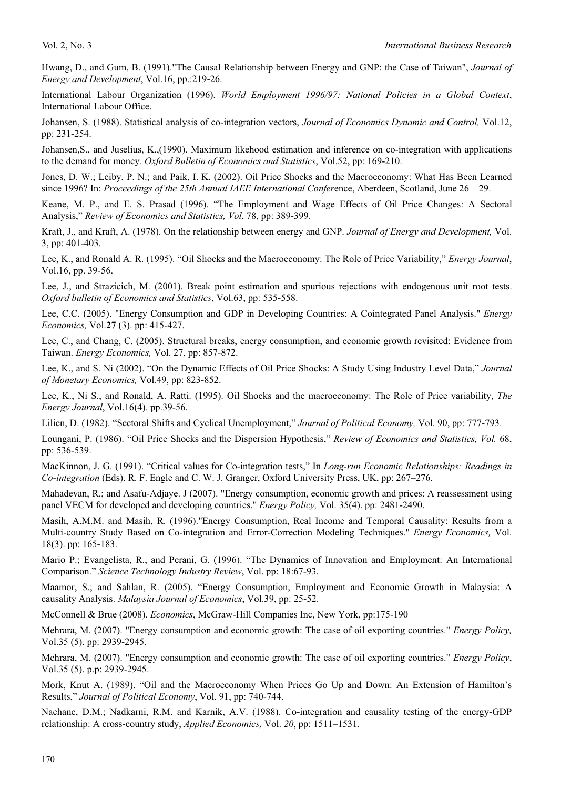Hwang, D., and Gum, B. (1991)."The Causal Relationship between Energy and GNP: the Case of Taiwan", *Journal of Energy and Development*, Vol.16, pp.:219-26.

International Labour Organization (1996). *World Employment 1996/97: National Policies in a Global Context*, International Labour Office.

Johansen, S. (1988). Statistical analysis of co-integration vectors, *Journal of Economics Dynamic and Control,* Vol.12, pp: 231-254.

Johansen,S., and Juselius, K.,(1990). Maximum likehood estimation and inference on co-integration with applications to the demand for money. *Oxford Bulletin of Economics and Statistics*, Vol.52, pp: 169-210.

Jones, D. W.; Leiby, P. N.; and Paik, I. K. (2002). Oil Price Shocks and the Macroeconomy: What Has Been Learned since 1996? In: *Proceedings of the 25th Annual IAEE International Confer*ence, Aberdeen, Scotland, June 26—29.

Keane, M. P., and E. S. Prasad (1996). "The Employment and Wage Effects of Oil Price Changes: A Sectoral Analysis," *Review of Economics and Statistics, Vol.* 78, pp: 389-399.

Kraft, J., and Kraft, A. (1978). On the relationship between energy and GNP. *Journal of Energy and Development,* Vol. 3, pp: 401-403.

Lee, K., and Ronald A. R. (1995). "Oil Shocks and the Macroeconomy: The Role of Price Variability," *Energy Journal*, Vol.16, pp. 39-56.

Lee, J., and Strazicich, M. (2001). Break point estimation and spurious rejections with endogenous unit root tests. *Oxford bulletin of Economics and Statistics*, Vol.63, pp: 535-558.

Lee, C.C. (2005). "Energy Consumption and GDP in Developing Countries: A Cointegrated Panel Analysis." *Energy Economics,* Vol.**27** (3). pp: 415-427.

Lee, C., and Chang, C. (2005). Structural breaks, energy consumption, and economic growth revisited: Evidence from Taiwan. *Energy Economics,* Vol. 27, pp: 857-872.

Lee, K., and S. Ni (2002). "On the Dynamic Effects of Oil Price Shocks: A Study Using Industry Level Data," *Journal of Monetary Economics,* Vol*.*49, pp: 823-852.

Lee, K., Ni S., and Ronald, A. Ratti. (1995). Oil Shocks and the macroeconomy: The Role of Price variability, *The Energy Journal*, Vol.16(4). pp.39-56.

Lilien, D. (1982). "Sectoral Shifts and Cyclical Unemployment," *Journal of Political Economy,* Vol*.* 90, pp: 777-793.

Loungani, P. (1986). "Oil Price Shocks and the Dispersion Hypothesis," *Review of Economics and Statistics, Vol.* 68, pp: 536-539.

MacKinnon, J. G. (1991). "Critical values for Co-integration tests," In *Long-run Economic Relationships: Readings in Co-integration* (Eds). R. F. Engle and C. W. J. Granger, Oxford University Press, UK, pp: 267–276.

Mahadevan, R.; and Asafu-Adjaye. J (2007). "Energy consumption, economic growth and prices: A reassessment using panel VECM for developed and developing countries." *Energy Policy,* Vol. 35(4). pp: 2481-2490.

Masih, A.M.M. and Masih, R. (1996)."Energy Consumption, Real Income and Temporal Causality: Results from a Multi-country Study Based on Co-integration and Error-Correction Modeling Techniques." *Energy Economics,* Vol. 18(3). pp: 165-183.

Mario P.; Evangelista, R., and Perani, G. (1996). "The Dynamics of Innovation and Employment: An International Comparison." *Science Technology Industry Review*, Vol. pp: 18:67-93.

Maamor, S.; and Sahlan, R. (2005). "Energy Consumption, Employment and Economic Growth in Malaysia: A causality Analysis. *Malaysia Journal of Economics*, Vol.39, pp: 25-52.

McConnell & Brue (2008). *Economics*, McGraw-Hill Companies Inc, New York, pp:175-190

Mehrara, M. (2007). "Energy consumption and economic growth: The case of oil exporting countries." *Energy Policy,*  Vol.35 (5). pp: 2939-2945.

Mehrara, M. (2007). "Energy consumption and economic growth: The case of oil exporting countries." *Energy Policy*, Vol.35 (5). p.p: 2939-2945.

Mork, Knut A. (1989). "Oil and the Macroeconomy When Prices Go Up and Down: An Extension of Hamilton's Results," *Journal of Political Economy*, Vol. 91, pp: 740-744.

Nachane, D.M.; Nadkarni, R.M. and Karnik, A.V. (1988). Co-integration and causality testing of the energy-GDP relationship: A cross-country study, *Applied Economics,* Vol. *20*, pp: 1511–1531.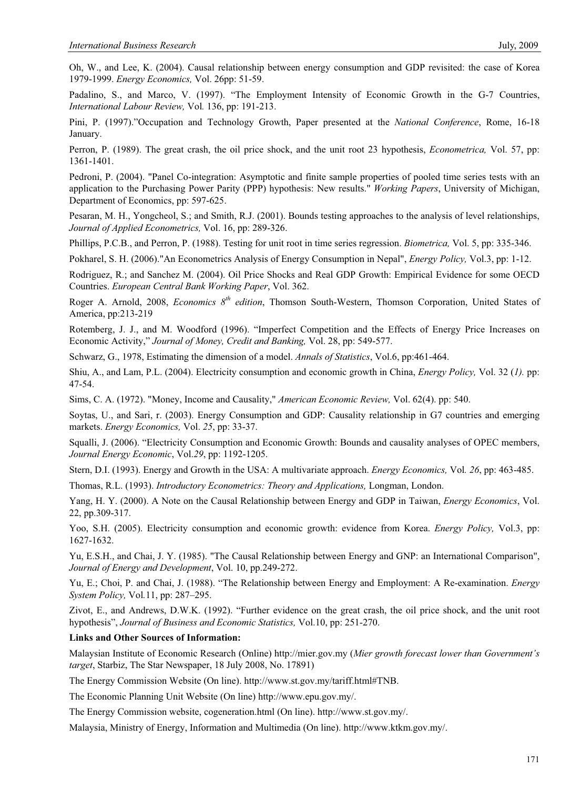Oh, W., and Lee, K. (2004). Causal relationship between energy consumption and GDP revisited: the case of Korea 1979-1999. *Energy Economics,* Vol. 26pp: 51-59.

Padalino, S., and Marco, V. (1997). "The Employment Intensity of Economic Growth in the G-7 Countries, *International Labour Review,* Vol*.* 136, pp: 191-213.

Pini, P. (1997)."Occupation and Technology Growth, Paper presented at the *National Conference*, Rome, 16-18 January.

Perron, P. (1989). The great crash, the oil price shock, and the unit root 23 hypothesis, *Econometrica,* Vol. 57, pp: 1361-1401.

Pedroni, P. (2004). "Panel Co-integration: Asymptotic and finite sample properties of pooled time series tests with an application to the Purchasing Power Parity (PPP) hypothesis: New results." *Working Papers*, University of Michigan, Department of Economics, pp: 597-625.

Pesaran, M. H., Yongcheol, S.; and Smith, R.J. (2001). Bounds testing approaches to the analysis of level relationships, *Journal of Applied Econometrics,* Vol. 16, pp: 289-326.

Phillips, P.C.B., and Perron, P. (1988). Testing for unit root in time series regression. *Biometrica,* Vol. 5, pp: 335-346.

Pokharel, S. H. (2006)."An Econometrics Analysis of Energy Consumption in Nepal", *Energy Policy,* Vol.3, pp: 1-12.

Rodriguez, R.; and Sanchez M. (2004). Oil Price Shocks and Real GDP Growth: Empirical Evidence for some OECD Countries. *European Central Bank Working Paper*, Vol. 362.

Roger A. Arnold, 2008, *Economics 8th edition*, Thomson South-Western, Thomson Corporation, United States of America, pp:213-219

Rotemberg, J. J., and M. Woodford (1996). "Imperfect Competition and the Effects of Energy Price Increases on Economic Activity," *Journal of Money, Credit and Banking,* Vol. 28, pp: 549-577.

Schwarz, G., 1978, Estimating the dimension of a model. *Annals of Statistics*, Vol.6, pp:461-464.

Shiu, A., and Lam, P.L. (2004). Electricity consumption and economic growth in China, *Energy Policy,* Vol. 32 (*1).* pp: 47-54.

Sims, C. A. (1972). "Money, Income and Causality," *American Economic Review,* Vol. 62(4). pp: 540.

Soytas, U., and Sari, r. (2003). Energy Consumption and GDP: Causality relationship in G7 countries and emerging markets. *Energy Economics,* Vol. *25*, pp: 33-37.

Squalli, J. (2006). "Electricity Consumption and Economic Growth: Bounds and causality analyses of OPEC members, *Journal Energy Economic*, Vol.*29*, pp: 1192-1205.

Stern, D.I. (1993). Energy and Growth in the USA: A multivariate approach. *Energy Economics,* Vol*. 26*, pp: 463-485.

Thomas, R.L. (1993). *Introductory Econometrics: Theory and Applications,* Longman, London.

Yang, H. Y. (2000). A Note on the Causal Relationship between Energy and GDP in Taiwan, *Energy Economics*, Vol. 22, pp.309-317.

Yoo, S.H. (2005). Electricity consumption and economic growth: evidence from Korea. *Energy Policy,* Vol.3, pp: 1627-1632.

Yu, E.S.H., and Chai, J. Y. (1985). "The Causal Relationship between Energy and GNP: an International Comparison", *Journal of Energy and Development*, Vol. 10, pp.249-272.

Yu, E.; Choi, P. and Chai, J. (1988). "The Relationship between Energy and Employment: A Re-examination. *Energy System Policy,* Vol*.*11, pp: 287–295.

Zivot, E., and Andrews, D.W.K. (1992). "Further evidence on the great crash, the oil price shock, and the unit root hypothesis", *Journal of Business and Economic Statistics,* Vol.10, pp: 251-270.

#### **Links and Other Sources of Information:**

Malaysian Institute of Economic Research (Online) http://mier.gov.my (*Mier growth forecast lower than Government's target*, Starbiz, The Star Newspaper, 18 July 2008, No. 17891)

The Energy Commission Website (On line). http://www.st.gov.my/tariff.html#TNB.

The Economic Planning Unit Website (On line) http://www.epu.gov.my/.

The Energy Commission website, cogeneration.html (On line). http://www.st.gov.my/.

Malaysia, Ministry of Energy, Information and Multimedia (On line). http://www.ktkm.gov.my/.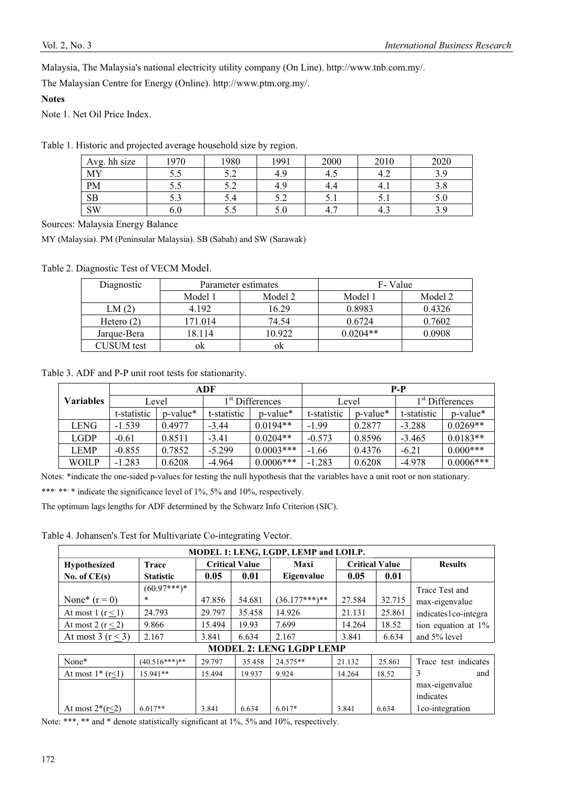Malaysia, The Malaysia's national electricity utility company (On Line). http://www.tnb.com.my/.

The Malaysian Centre for Energy (Online). http://www.ptm.org.my/.

### **Notes**

Note 1. Net Oil Price Index.

| $\frac{1}{2}$ Avg. hh size | 1970 | 1980 | 1991 | 2000 | 2010 | 2020 |
|----------------------------|------|------|------|------|------|------|
| MΥ                         | 5.5  | نه د | 4.9  | 4.5  | 4.2  | 3.9  |
| <b>PM</b>                  | 5.5  | ے ۔  | 4.9  | 4.4  | 4.1  | ں. ر |
| <b>SB</b>                  | 5.3  | 5.4  | 5.2  | 5.1  | 5.1  | 5.U  |
| <b>SW</b>                  | 6.0  | C.C  | 5.0  | 4.7  | 4.3  | 3.9  |

Table 1. Historic and projected average household size by region.

Sources: Malaysia Energy Balance

MY (Malaysia). PM (Peninsular Malaysia). SB (Sabah) and SW (Sarawak)

Table 2. Diagnostic Test of VECM Model.

| Diagnostic        | Parameter estimates |        | F-Value    |         |  |  |
|-------------------|---------------------|--------|------------|---------|--|--|
|                   | Model 2<br>Model 1  |        | Model 1    | Model 2 |  |  |
| LM(2)             | 4.192               |        | 0.8983     | 0.4326  |  |  |
| Hetero $(2)$      | 171.014             | 74.54  | 0.6724     | 0.7602  |  |  |
| Jarque-Bera       | 18.114              | 10.922 | $0.0204**$ | 0.0908  |  |  |
| <b>CUSUM</b> test | ОK                  |        |            |         |  |  |

Table 3. ADF and P-P unit root tests for stationarity.

|                  |             |          | ADF                         |             | $P-P$       |          |                             |              |
|------------------|-------------|----------|-----------------------------|-------------|-------------|----------|-----------------------------|--------------|
| <b>Variables</b> | Level       |          | 1 <sup>st</sup> Differences |             | Level       |          | 1 <sup>st</sup> Differences |              |
|                  | t-statistic | p-value* | t-statistic                 | p-value*    | t-statistic | p-value* | t-statistic                 | p-value*     |
| <b>LENG</b>      | $-1.539$    | 0.4977   | $-3.44$                     | $0.0194**$  | $-1.99$     | 0.2877   | $-3.288$                    | $0.0269**$   |
| <b>LGDP</b>      | $-0.61$     | 0.8511   | $-3.41$                     | $0.0204**$  | $-0.573$    | 0.8596   | $-3.465$                    | $0.0183**$   |
| <b>LEMP</b>      | $-0.855$    | 0.7852   | $-5.299$                    | $0.0003***$ | $-1.66$     | 0.4376   | $-6.21$                     | $0.000***$   |
| <b>WOILP</b>     | $-1.283$    | 0.6208   | $-4.964$                    | $0.0006***$ | $-1.283$    | 0.6208   | -4.978                      | $0.0006$ *** |

Notes: \*indicate the one-sided p-values for testing the null hypothesis that the variables have a unit root or non stationary.

\*\*\*, \*\*, \* indicate the significance level of 1%, 5% and 10%, respectively.

The optimum lags lengths for ADF determined by the Schwarz Info Criterion (SIC).

Table 4. Johansen's Test for Multivariate Co-integrating Vector.

| MODEL 1: LENG, LGDP, LEMP and LOILP. |                  |        |                       |                                |                       |        |                        |  |
|--------------------------------------|------------------|--------|-----------------------|--------------------------------|-----------------------|--------|------------------------|--|
| <b>Hypothesized</b>                  | <b>Trace</b>     |        | <b>Critical Value</b> | Maxi                           | <b>Critical Value</b> |        | <b>Results</b>         |  |
| No. of $CE(s)$                       | <b>Statistic</b> | 0.05   | 0.01                  | Eigenvalue                     | 0.05                  | 0.01   |                        |  |
|                                      | $(60.97***)*$    |        |                       |                                |                       |        | Trace Test and         |  |
| None* $(r = 0)$                      | *                | 47.856 | 54.681                | $(36.177***)**$                | 27.584                | 32.715 | max-eigenvalue         |  |
| At most 1 $(r < 1)$                  | 24.793           | 29.797 | 35.458                | 14.926                         | 21.131                | 25.861 | indicates1co-integra   |  |
| At most 2 $(r < 2)$                  | 9.866            | 15.494 | 19.93                 | 7.699                          | 14.264                | 18.52  | tion equation at $1\%$ |  |
| At most 3 ( $r \leq 3$ )             | 2.167            | 3.841  | 6.634                 | 2.167                          | 3.841                 | 6.634  | and 5% level           |  |
|                                      |                  |        |                       | <b>MODEL 2: LENG LGDP LEMP</b> |                       |        |                        |  |
| None*                                | $(40.516***)**$  | 29.797 | 35.458                | 24.575**                       | 21.132                | 25.861 | Trace test indicates   |  |
| At most $1*(r<1)$                    | 15.941**         | 15.494 | 19.937                | 9.924                          | 14.264                | 18.52  | 3<br>and               |  |
|                                      |                  |        |                       |                                |                       |        | max-eigenvalue         |  |
|                                      |                  |        |                       |                                |                       |        | indicates              |  |
| At most $2*(r\leq 2)$                | $6.017**$        | 3.841  | 6.634                 | $6.017*$                       | 3.841                 | 6.634  | 1co-integration        |  |

Note: \*\*\*, \*\* and \* denote statistically significant at 1%, 5% and 10%, respectively.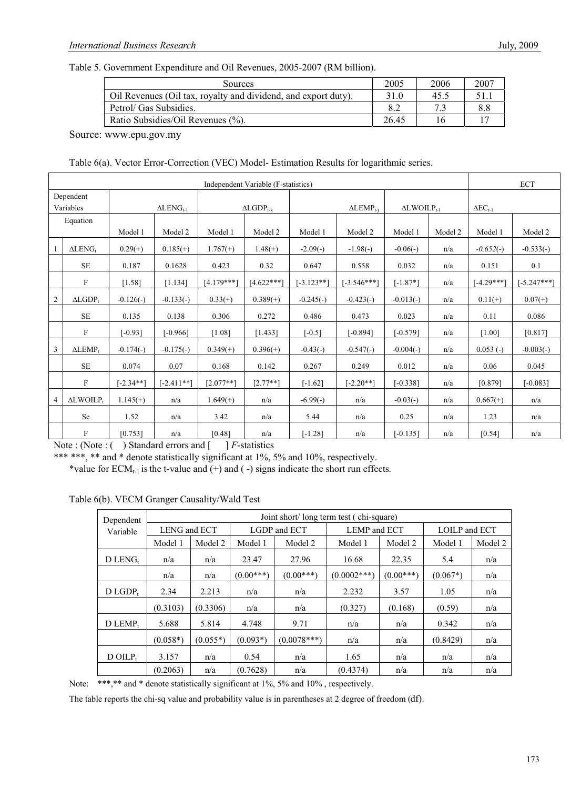Table 5. Government Expenditure and Oil Revenues, 2005-2007 (RM billion).

| Sources                                                        | 2005  | 2006 | 2007 |
|----------------------------------------------------------------|-------|------|------|
| Oil Revenues (Oil tax, royalty and dividend, and export duty). | 31.0  | 45.5 | 51.) |
| Petrol/ Gas Subsidies.                                         | 8.2   |      | 8.8  |
| Ratio Subsidies/Oil Revenues (%).                              | 26.45 | ۱h   |      |

Source: www.epu.gov.my

## Table 6(a). Vector Error-Correction (VEC) Model- Estimation Results for logarithmic series.

|                |                               |             |                        | <b>ECT</b>   |                           |              |                              |                         |         |                                 |               |
|----------------|-------------------------------|-------------|------------------------|--------------|---------------------------|--------------|------------------------------|-------------------------|---------|---------------------------------|---------------|
|                | Dependent                     |             |                        |              |                           |              |                              |                         |         |                                 |               |
|                | Variables                     |             | $\Delta$ LEN $G_{t-1}$ |              | $\Delta\text{LGDP}_{t-k}$ |              | $\Delta$ LEMP <sub>t-i</sub> | $\triangle LWOLP_{t-1}$ |         | $\Delta \text{EC}_{\text{t-1}}$ |               |
|                | Equation                      |             |                        |              |                           |              |                              |                         |         |                                 |               |
|                |                               | Model 1     | Model 2                | Model 1      | Model 2                   | Model 1      | Model 2                      | Model 1                 | Model 2 | Model 1                         | Model 2       |
| 1              | $\Delta$ LENG <sub>t</sub>    | $0.29(+)$   | $0.185(+)$             | $1.767(+)$   | $1.48(+)$                 | $-2.09(-)$   | $-1.98(-)$                   | $-0.06(-)$              | n/a     | $-0.652(-)$                     | $-0.533(-)$   |
|                | <b>SE</b>                     | 0.187       | 0.1628                 | 0.423        | 0.32                      | 0.647        | 0.558                        | 0.032                   | n/a     | 0.151                           | 0.1           |
|                | F                             | [1.58]      | [1.134]                | $[4.179***]$ | $[4.622***]$              | $[-3.123**]$ | $[-3.546***]$                | $[-1.87*]$              | n/a     | $[-4.29***]$                    | $[-5.247***]$ |
| $\overline{c}$ | $\Delta LGDP_t$               | $-0.126(-)$ | $-0.133(-)$            | $0.33(+)$    | $0.389(+)$                | $-0.245(-)$  | $-0.423(-)$                  | $-0.013(-)$             | n/a     | $0.11(+)$                       | $0.07(+)$     |
|                | <b>SE</b>                     | 0.135       | 0.138                  | 0.306        | 0.272                     | 0.486        | 0.473                        | 0.023                   | n/a     | 0.11                            | 0.086         |
|                | F                             | $[-0.93]$   | $[-0.966]$             | [1.08]       | [1.433]                   | $[-0.5]$     | $[-0.894]$                   | $[-0.579]$              | n/a     | $[1.00]$                        | [0.817]       |
| $\mathfrak{Z}$ | $\triangle$ LEMP <sub>t</sub> | $-0.174(-)$ | $-0.175(-)$            | $0.349(+)$   | $0.396(+)$                | $-0.43(-)$   | $-0.547(-)$                  | $-0.004(-)$             | n/a     | $0.053(-)$                      | $-0.003(-)$   |
|                | <b>SE</b>                     | 0.074       | 0.07                   | 0.168        | 0.142                     | 0.267        | 0.249                        | 0.012                   | n/a     | 0.06                            | 0.045         |
|                | F                             | $[-2.34**]$ | $[-2.411**]$           | $[2.077**]$  | $[2.77**]$                | $[-1.62]$    | $[-2.20**]$                  | $[-0.338]$              | n/a     | [0.879]                         | $[-0.083]$    |
| $\overline{4}$ | $\triangle LWOLP_t$           | $1.145(+)$  | n/a                    | $1.649(+)$   | n/a                       | $-6.99(-)$   | n/a                          | $-0.03(-)$              | n/a     | $0.667(+)$                      | n/a           |
|                | Se                            | 1.52        | n/a                    | 3.42         | n/a                       | 5.44         | n/a                          | 0.25                    | n/a     | 1.23                            | n/a           |
|                | $\boldsymbol{\mathrm{F}}$     | [0.753]     | n/a                    | [0.48]       | n/a                       | $[-1.28]$    | n/a                          | $[-0.135]$              | n/a     | [0.54]                          | n/a           |

Note : (Note : () Standard errors and [ ] *F*-statistics

\*\*\* \*\*\*, \*\* and \* denote statistically significant at 1%, 5% and 10%, respectively.

\*value for  $ECM_{t-1}$  is the t-value and  $(+)$  and  $(-)$  signs indicate the short run effects.

Table 6(b). VECM Granger Causality/Wald Test

| Dependent             |              | Joint short/long term test (chi-square) |             |               |               |             |               |         |  |  |  |
|-----------------------|--------------|-----------------------------------------|-------------|---------------|---------------|-------------|---------------|---------|--|--|--|
| Variable              | LENG and ECT |                                         |             | LGDP and ECT  | LEMP and ECT  |             | LOILP and ECT |         |  |  |  |
|                       | Model 1      | Model 2                                 | Model 1     | Model 2       | Model 1       | Model 2     | Model 1       | Model 2 |  |  |  |
| $D$ LENG <sub>t</sub> | n/a          | n/a                                     | 23.47       | 27.96         | 16.68         | 22.35       | 5.4           | n/a     |  |  |  |
|                       | n/a          | n/a                                     | $(0.00***)$ | $(0.00***)$   | $(0.0002***)$ | $(0.00***)$ | $(0.067*)$    | n/a     |  |  |  |
| $D$ LGDP <sub>t</sub> | 2.34         | 2.213                                   | n/a         | n/a           | 2.232         | 3.57        | 1.05          | n/a     |  |  |  |
|                       | (0.3103)     | (0.3306)                                | n/a         | n/a           | (0.327)       | (0.168)     | (0.59)        | n/a     |  |  |  |
| $D$ LEMP.             | 5.688        | 5.814                                   | 4.748       | 9.71          | n/a           | n/a         | 0.342         | n/a     |  |  |  |
|                       | $(0.058*)$   | $(0.055*)$                              | $(0.093*)$  | $(0.0078***)$ | n/a           | n/a         | (0.8429)      | n/a     |  |  |  |
| $D$ OILP <sub>t</sub> | 3.157        | n/a                                     | 0.54        | n/a           | 1.65          | n/a         | n/a           | n/a     |  |  |  |
|                       | (0.2063)     | n/a                                     | (0.7628)    | n/a           | (0.4374)      | n/a         | n/a           | n/a     |  |  |  |

Note: \*\*\*,\*\* and \* denote statistically significant at 1%, 5% and 10%, respectively.

The table reports the chi-sq value and probability value is in parentheses at 2 degree of freedom (df).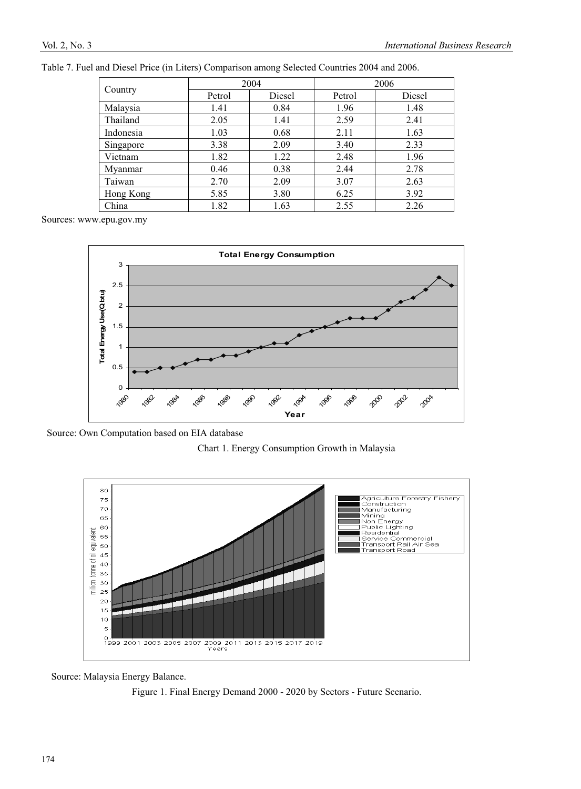|           |        | 2004   |        | 2006   |
|-----------|--------|--------|--------|--------|
| Country   | Petrol | Diesel | Petrol | Diesel |
| Malaysia  | 1.41   | 0.84   | 1.96   | 1.48   |
| Thailand  | 2.05   | 1.41   | 2.59   | 2.41   |
| Indonesia | 1.03   | 0.68   | 2.11   | 1.63   |
| Singapore | 3.38   | 2.09   | 3.40   | 2.33   |
| Vietnam   | 1.82   | 1.22   | 2.48   | 1.96   |
| Myanmar   | 0.46   | 0.38   | 2.44   | 2.78   |
| Taiwan    | 2.70   | 2.09   | 3.07   | 2.63   |
| Hong Kong | 5.85   | 3.80   | 6.25   | 3.92   |
| China     | 1.82   | 1.63   | 2.55   | 2.26   |

Table 7. Fuel and Diesel Price (in Liters) Comparison among Selected Countries 2004 and 2006.

Sources: www.epu.gov.my



Source: Own Computation based on EIA database





Source: Malaysia Energy Balance.